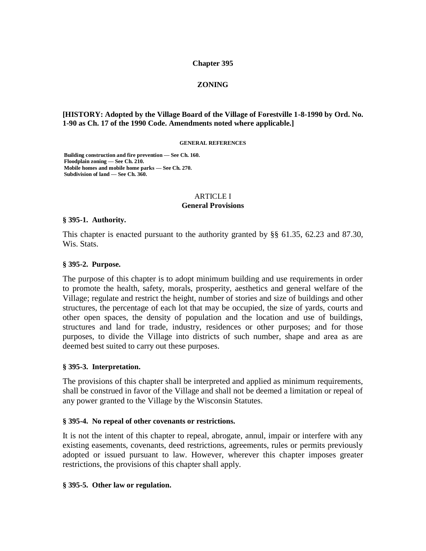#### **Chapter 395**

### **ZONING**

#### **[HISTORY: Adopted by the Village Board of the Village of Forestville 1-8-1990 by Ord. No. 1-90 as Ch. 17 of the 1990 Code. Amendments noted where applicable.]**

#### **GENERAL REFERENCES**

**Building construction and fire prevention — See Ch. 160. Floodplain zoning — See Ch. 210. Mobile homes and mobile home parks — See Ch. 270. Subdivision of land — See Ch. 360.**

#### ARTICLE I **General Provisions**

#### **§ 395-1. Authority.**

This chapter is enacted pursuant to the authority granted by §§ 61.35, 62.23 and 87.30, Wis. Stats.

#### **§ 395-2. Purpose.**

The purpose of this chapter is to adopt minimum building and use requirements in order to promote the health, safety, morals, prosperity, aesthetics and general welfare of the Village; regulate and restrict the height, number of stories and size of buildings and other structures, the percentage of each lot that may be occupied, the size of yards, courts and other open spaces, the density of population and the location and use of buildings, structures and land for trade, industry, residences or other purposes; and for those purposes, to divide the Village into districts of such number, shape and area as are deemed best suited to carry out these purposes.

#### **§ 395-3. Interpretation.**

The provisions of this chapter shall be interpreted and applied as minimum requirements, shall be construed in favor of the Village and shall not be deemed a limitation or repeal of any power granted to the Village by the Wisconsin Statutes.

#### **§ 395-4. No repeal of other covenants or restrictions.**

It is not the intent of this chapter to repeal, abrogate, annul, impair or interfere with any existing easements, covenants, deed restrictions, agreements, rules or permits previously adopted or issued pursuant to law. However, wherever this chapter imposes greater restrictions, the provisions of this chapter shall apply.

#### **§ 395-5. Other law or regulation.**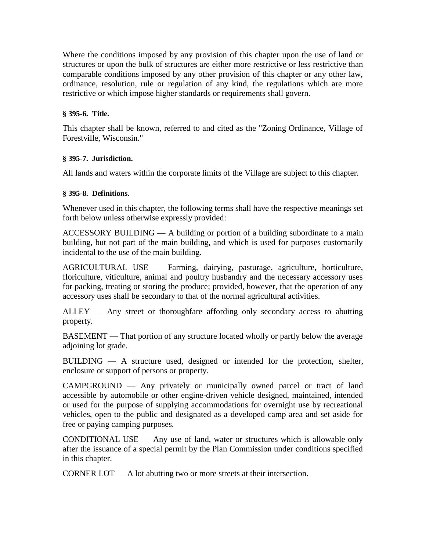Where the conditions imposed by any provision of this chapter upon the use of land or structures or upon the bulk of structures are either more restrictive or less restrictive than comparable conditions imposed by any other provision of this chapter or any other law, ordinance, resolution, rule or regulation of any kind, the regulations which are more restrictive or which impose higher standards or requirements shall govern.

# **§ 395-6. Title.**

This chapter shall be known, referred to and cited as the "Zoning Ordinance, Village of Forestville, Wisconsin."

### **§ 395-7. Jurisdiction.**

All lands and waters within the corporate limits of the Village are subject to this chapter.

# **§ 395-8. Definitions.**

Whenever used in this chapter, the following terms shall have the respective meanings set forth below unless otherwise expressly provided:

ACCESSORY BUILDING — A building or portion of a building subordinate to a main building, but not part of the main building, and which is used for purposes customarily incidental to the use of the main building.

AGRICULTURAL USE — Farming, dairying, pasturage, agriculture, horticulture, floriculture, viticulture, animal and poultry husbandry and the necessary accessory uses for packing, treating or storing the produce; provided, however, that the operation of any accessory uses shall be secondary to that of the normal agricultural activities.

ALLEY — Any street or thoroughfare affording only secondary access to abutting property.

BASEMENT — That portion of any structure located wholly or partly below the average adjoining lot grade.

BUILDING — A structure used, designed or intended for the protection, shelter, enclosure or support of persons or property.

CAMPGROUND — Any privately or municipally owned parcel or tract of land accessible by automobile or other engine-driven vehicle designed, maintained, intended or used for the purpose of supplying accommodations for overnight use by recreational vehicles, open to the public and designated as a developed camp area and set aside for free or paying camping purposes.

CONDITIONAL USE — Any use of land, water or structures which is allowable only after the issuance of a special permit by the Plan Commission under conditions specified in this chapter.

CORNER LOT — A lot abutting two or more streets at their intersection.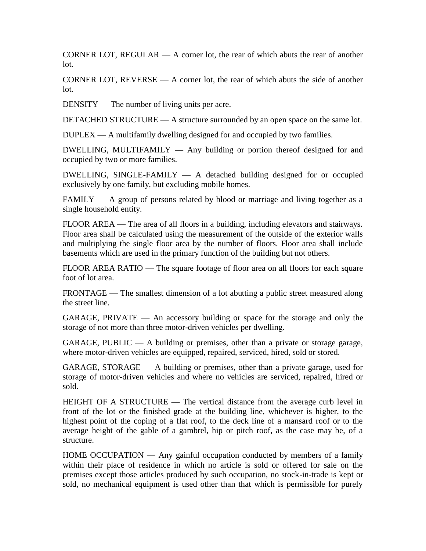CORNER LOT, REGULAR — A corner lot, the rear of which abuts the rear of another lot.

CORNER LOT,  $REVERSE - A corner lot$ , the rear of which abuts the side of another lot.

DENSITY — The number of living units per acre.

DETACHED STRUCTURE — A structure surrounded by an open space on the same lot.

DUPLEX — A multifamily dwelling designed for and occupied by two families.

 $DWELLING$ , MULTIFAMILY  $-$  Any building or portion thereof designed for and occupied by two or more families.

DWELLING, SINGLE-FAMILY  $-$  A detached building designed for or occupied exclusively by one family, but excluding mobile homes.

 $FAMILY - A$  group of persons related by blood or marriage and living together as a single household entity.

FLOOR AREA — The area of all floors in a building, including elevators and stairways. Floor area shall be calculated using the measurement of the outside of the exterior walls and multiplying the single floor area by the number of floors. Floor area shall include basements which are used in the primary function of the building but not others.

FLOOR AREA RATIO — The square footage of floor area on all floors for each square foot of lot area.

FRONTAGE — The smallest dimension of a lot abutting a public street measured along the street line.

GARAGE, PRIVATE — An accessory building or space for the storage and only the storage of not more than three motor-driven vehicles per dwelling.

 $GARAGE$ , PUBLIC — A building or premises, other than a private or storage garage, where motor-driven vehicles are equipped, repaired, serviced, hired, sold or stored.

GARAGE, STORAGE — A building or premises, other than a private garage, used for storage of motor-driven vehicles and where no vehicles are serviced, repaired, hired or sold.

HEIGHT OF A STRUCTURE — The vertical distance from the average curb level in front of the lot or the finished grade at the building line, whichever is higher, to the highest point of the coping of a flat roof, to the deck line of a mansard roof or to the average height of the gable of a gambrel, hip or pitch roof, as the case may be, of a structure.

HOME OCCUPATION — Any gainful occupation conducted by members of a family within their place of residence in which no article is sold or offered for sale on the premises except those articles produced by such occupation, no stock-in-trade is kept or sold, no mechanical equipment is used other than that which is permissible for purely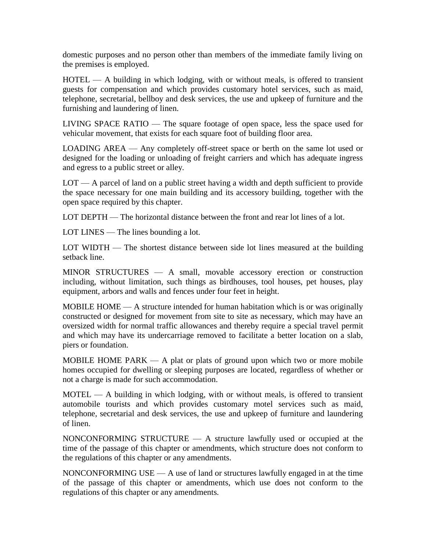domestic purposes and no person other than members of the immediate family living on the premises is employed.

HOTEL — A building in which lodging, with or without meals, is offered to transient guests for compensation and which provides customary hotel services, such as maid, telephone, secretarial, bellboy and desk services, the use and upkeep of furniture and the furnishing and laundering of linen.

LIVING SPACE RATIO — The square footage of open space, less the space used for vehicular movement, that exists for each square foot of building floor area.

LOADING AREA — Any completely off-street space or berth on the same lot used or designed for the loading or unloading of freight carriers and which has adequate ingress and egress to a public street or alley.

LOT — A parcel of land on a public street having a width and depth sufficient to provide the space necessary for one main building and its accessory building, together with the open space required by this chapter.

LOT DEPTH — The horizontal distance between the front and rear lot lines of a lot.

LOT LINES — The lines bounding a lot.

LOT WIDTH — The shortest distance between side lot lines measured at the building setback line.

MINOR STRUCTURES — A small, movable accessory erection or construction including, without limitation, such things as birdhouses, tool houses, pet houses, play equipment, arbors and walls and fences under four feet in height.

MOBILE HOME — A structure intended for human habitation which is or was originally constructed or designed for movement from site to site as necessary, which may have an oversized width for normal traffic allowances and thereby require a special travel permit and which may have its undercarriage removed to facilitate a better location on a slab, piers or foundation.

MOBILE HOME PARK — A plat or plats of ground upon which two or more mobile homes occupied for dwelling or sleeping purposes are located, regardless of whether or not a charge is made for such accommodation.

 $MOTEL$   $-$  A building in which lodging, with or without meals, is offered to transient automobile tourists and which provides customary motel services such as maid, telephone, secretarial and desk services, the use and upkeep of furniture and laundering of linen.

NONCONFORMING STRUCTURE — A structure lawfully used or occupied at the time of the passage of this chapter or amendments, which structure does not conform to the regulations of this chapter or any amendments.

NONCONFORMING USE  $- A$  use of land or structures lawfully engaged in at the time of the passage of this chapter or amendments, which use does not conform to the regulations of this chapter or any amendments.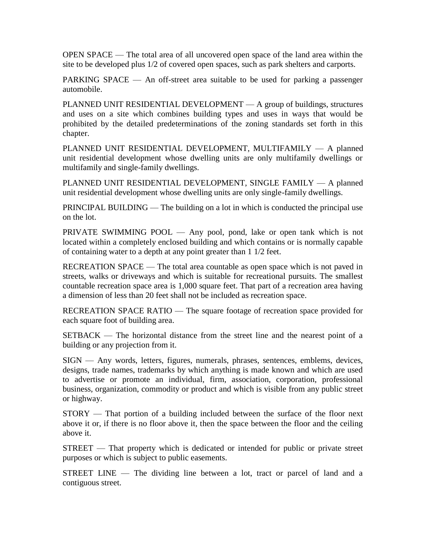OPEN SPACE — The total area of all uncovered open space of the land area within the site to be developed plus 1/2 of covered open spaces, such as park shelters and carports.

PARKING SPACE — An off-street area suitable to be used for parking a passenger automobile.

PLANNED UNIT RESIDENTIAL DEVELOPMENT — A group of buildings, structures and uses on a site which combines building types and uses in ways that would be prohibited by the detailed predeterminations of the zoning standards set forth in this chapter.

PLANNED UNIT RESIDENTIAL DEVELOPMENT, MULTIFAMILY — A planned unit residential development whose dwelling units are only multifamily dwellings or multifamily and single-family dwellings.

PLANNED UNIT RESIDENTIAL DEVELOPMENT, SINGLE FAMILY — A planned unit residential development whose dwelling units are only single-family dwellings.

PRINCIPAL BUILDING — The building on a lot in which is conducted the principal use on the lot.

PRIVATE SWIMMING POOL — Any pool, pond, lake or open tank which is not located within a completely enclosed building and which contains or is normally capable of containing water to a depth at any point greater than 1 1/2 feet.

RECREATION SPACE — The total area countable as open space which is not paved in streets, walks or driveways and which is suitable for recreational pursuits. The smallest countable recreation space area is 1,000 square feet. That part of a recreation area having a dimension of less than 20 feet shall not be included as recreation space.

RECREATION SPACE RATIO — The square footage of recreation space provided for each square foot of building area.

SETBACK — The horizontal distance from the street line and the nearest point of a building or any projection from it.

SIGN — Any words, letters, figures, numerals, phrases, sentences, emblems, devices, designs, trade names, trademarks by which anything is made known and which are used to advertise or promote an individual, firm, association, corporation, professional business, organization, commodity or product and which is visible from any public street or highway.

STORY — That portion of a building included between the surface of the floor next above it or, if there is no floor above it, then the space between the floor and the ceiling above it.

STREET — That property which is dedicated or intended for public or private street purposes or which is subject to public easements.

STREET LINE — The dividing line between a lot, tract or parcel of land and a contiguous street.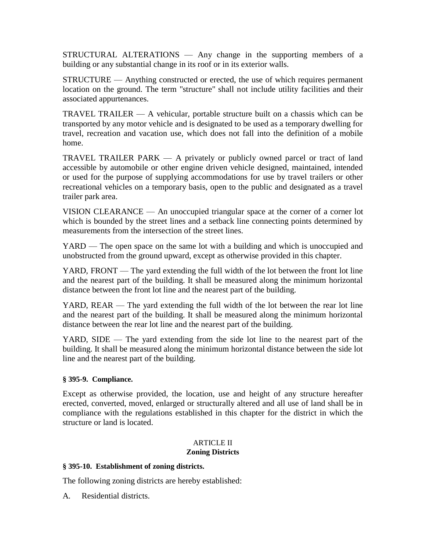STRUCTURAL ALTERATIONS — Any change in the supporting members of a building or any substantial change in its roof or in its exterior walls.

STRUCTURE — Anything constructed or erected, the use of which requires permanent location on the ground. The term "structure" shall not include utility facilities and their associated appurtenances.

TRAVEL TRAILER — A vehicular, portable structure built on a chassis which can be transported by any motor vehicle and is designated to be used as a temporary dwelling for travel, recreation and vacation use, which does not fall into the definition of a mobile home.

TRAVEL TRAILER PARK — A privately or publicly owned parcel or tract of land accessible by automobile or other engine driven vehicle designed, maintained, intended or used for the purpose of supplying accommodations for use by travel trailers or other recreational vehicles on a temporary basis, open to the public and designated as a travel trailer park area.

VISION CLEARANCE — An unoccupied triangular space at the corner of a corner lot which is bounded by the street lines and a setback line connecting points determined by measurements from the intersection of the street lines.

YARD — The open space on the same lot with a building and which is unoccupied and unobstructed from the ground upward, except as otherwise provided in this chapter.

YARD, FRONT — The yard extending the full width of the lot between the front lot line and the nearest part of the building. It shall be measured along the minimum horizontal distance between the front lot line and the nearest part of the building.

YARD, REAR — The yard extending the full width of the lot between the rear lot line and the nearest part of the building. It shall be measured along the minimum horizontal distance between the rear lot line and the nearest part of the building.

YARD, SIDE — The yard extending from the side lot line to the nearest part of the building. It shall be measured along the minimum horizontal distance between the side lot line and the nearest part of the building.

### **§ 395-9. Compliance.**

Except as otherwise provided, the location, use and height of any structure hereafter erected, converted, moved, enlarged or structurally altered and all use of land shall be in compliance with the regulations established in this chapter for the district in which the structure or land is located.

#### ARTICLE II **Zoning Districts**

### **§ 395-10. Establishment of zoning districts.**

The following zoning districts are hereby established:

A. Residential districts.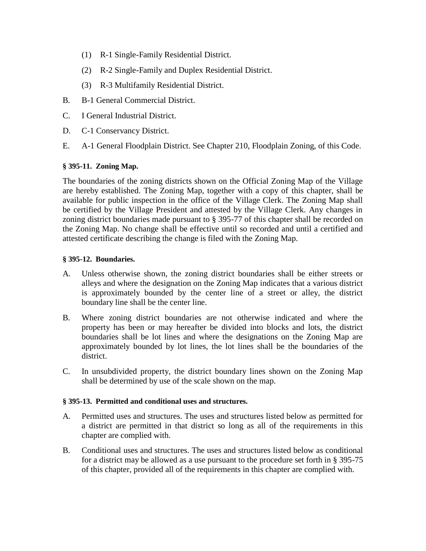- (1) R-1 Single-Family Residential District.
- (2) R-2 Single-Family and Duplex Residential District.
- (3) R-3 Multifamily Residential District.
- B. B-1 General Commercial District.
- C. I General Industrial District.
- D. C-1 Conservancy District.
- E. A-1 General Floodplain District. See Chapter 210, Floodplain Zoning, of this Code.

### **§ 395-11. Zoning Map.**

The boundaries of the zoning districts shown on the Official Zoning Map of the Village are hereby established. The Zoning Map, together with a copy of this chapter, shall be available for public inspection in the office of the Village Clerk. The Zoning Map shall be certified by the Village President and attested by the Village Clerk. Any changes in zoning district boundaries made pursuant to § 395-77 of this chapter shall be recorded on the Zoning Map. No change shall be effective until so recorded and until a certified and attested certificate describing the change is filed with the Zoning Map.

#### **§ 395-12. Boundaries.**

- A. Unless otherwise shown, the zoning district boundaries shall be either streets or alleys and where the designation on the Zoning Map indicates that a various district is approximately bounded by the center line of a street or alley, the district boundary line shall be the center line.
- B. Where zoning district boundaries are not otherwise indicated and where the property has been or may hereafter be divided into blocks and lots, the district boundaries shall be lot lines and where the designations on the Zoning Map are approximately bounded by lot lines, the lot lines shall be the boundaries of the district.
- C. In unsubdivided property, the district boundary lines shown on the Zoning Map shall be determined by use of the scale shown on the map.

### **§ 395-13. Permitted and conditional uses and structures.**

- A. Permitted uses and structures. The uses and structures listed below as permitted for a district are permitted in that district so long as all of the requirements in this chapter are complied with.
- B. Conditional uses and structures. The uses and structures listed below as conditional for a district may be allowed as a use pursuant to the procedure set forth in § 395-75 of this chapter, provided all of the requirements in this chapter are complied with.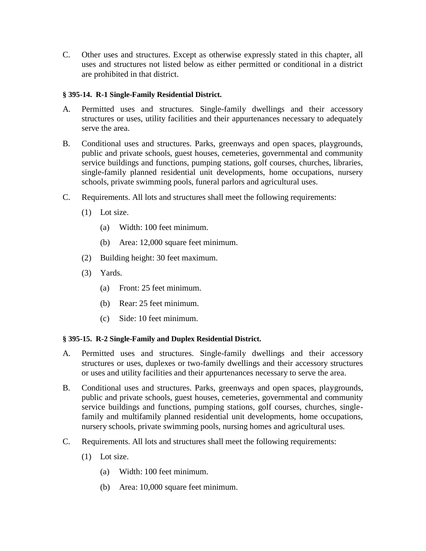C. Other uses and structures. Except as otherwise expressly stated in this chapter, all uses and structures not listed below as either permitted or conditional in a district are prohibited in that district.

## **§ 395-14. R-1 Single-Family Residential District.**

- A. Permitted uses and structures. Single-family dwellings and their accessory structures or uses, utility facilities and their appurtenances necessary to adequately serve the area.
- B. Conditional uses and structures. Parks, greenways and open spaces, playgrounds, public and private schools, guest houses, cemeteries, governmental and community service buildings and functions, pumping stations, golf courses, churches, libraries, single-family planned residential unit developments, home occupations, nursery schools, private swimming pools, funeral parlors and agricultural uses.
- C. Requirements. All lots and structures shall meet the following requirements:
	- (1) Lot size.
		- (a) Width: 100 feet minimum.
		- (b) Area: 12,000 square feet minimum.
	- (2) Building height: 30 feet maximum.
	- (3) Yards.
		- (a) Front: 25 feet minimum.
		- (b) Rear: 25 feet minimum.
		- (c) Side: 10 feet minimum.

# **§ 395-15. R-2 Single-Family and Duplex Residential District.**

- A. Permitted uses and structures. Single-family dwellings and their accessory structures or uses, duplexes or two-family dwellings and their accessory structures or uses and utility facilities and their appurtenances necessary to serve the area.
- B. Conditional uses and structures. Parks, greenways and open spaces, playgrounds, public and private schools, guest houses, cemeteries, governmental and community service buildings and functions, pumping stations, golf courses, churches, singlefamily and multifamily planned residential unit developments, home occupations, nursery schools, private swimming pools, nursing homes and agricultural uses.
- C. Requirements. All lots and structures shall meet the following requirements:
	- (1) Lot size.
		- (a) Width: 100 feet minimum.
		- (b) Area: 10,000 square feet minimum.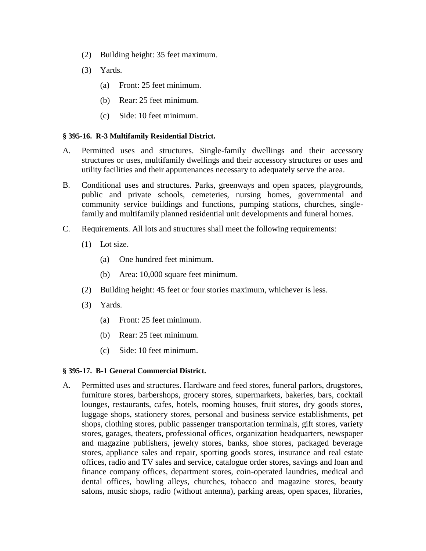- (2) Building height: 35 feet maximum.
- (3) Yards.
	- (a) Front: 25 feet minimum.
	- (b) Rear: 25 feet minimum.
	- (c) Side: 10 feet minimum.

#### **§ 395-16. R-3 Multifamily Residential District.**

- A. Permitted uses and structures. Single-family dwellings and their accessory structures or uses, multifamily dwellings and their accessory structures or uses and utility facilities and their appurtenances necessary to adequately serve the area.
- B. Conditional uses and structures. Parks, greenways and open spaces, playgrounds, public and private schools, cemeteries, nursing homes, governmental and community service buildings and functions, pumping stations, churches, singlefamily and multifamily planned residential unit developments and funeral homes.
- C. Requirements. All lots and structures shall meet the following requirements:
	- (1) Lot size.
		- (a) One hundred feet minimum.
		- (b) Area: 10,000 square feet minimum.
	- (2) Building height: 45 feet or four stories maximum, whichever is less.
	- (3) Yards.
		- (a) Front: 25 feet minimum.
		- (b) Rear: 25 feet minimum.
		- (c) Side: 10 feet minimum.

#### **§ 395-17. B-1 General Commercial District.**

A. Permitted uses and structures. Hardware and feed stores, funeral parlors, drugstores, furniture stores, barbershops, grocery stores, supermarkets, bakeries, bars, cocktail lounges, restaurants, cafes, hotels, rooming houses, fruit stores, dry goods stores, luggage shops, stationery stores, personal and business service establishments, pet shops, clothing stores, public passenger transportation terminals, gift stores, variety stores, garages, theaters, professional offices, organization headquarters, newspaper and magazine publishers, jewelry stores, banks, shoe stores, packaged beverage stores, appliance sales and repair, sporting goods stores, insurance and real estate offices, radio and TV sales and service, catalogue order stores, savings and loan and finance company offices, department stores, coin-operated laundries, medical and dental offices, bowling alleys, churches, tobacco and magazine stores, beauty salons, music shops, radio (without antenna), parking areas, open spaces, libraries,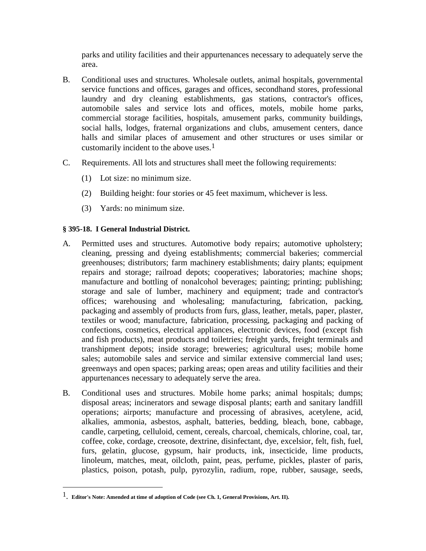parks and utility facilities and their appurtenances necessary to adequately serve the area.

- B. Conditional uses and structures. Wholesale outlets, animal hospitals, governmental service functions and offices, garages and offices, secondhand stores, professional laundry and dry cleaning establishments, gas stations, contractor's offices, automobile sales and service lots and offices, motels, mobile home parks, commercial storage facilities, hospitals, amusement parks, community buildings, social halls, lodges, fraternal organizations and clubs, amusement centers, dance halls and similar places of amusement and other structures or uses similar or customarily incident to the above uses.1
- C. Requirements. All lots and structures shall meet the following requirements:
	- (1) Lot size: no minimum size.
	- (2) Building height: four stories or 45 feet maximum, whichever is less.
	- (3) Yards: no minimum size.

### **§ 395-18. I General Industrial District.**

- A. Permitted uses and structures. Automotive body repairs; automotive upholstery; cleaning, pressing and dyeing establishments; commercial bakeries; commercial greenhouses; distributors; farm machinery establishments; dairy plants; equipment repairs and storage; railroad depots; cooperatives; laboratories; machine shops; manufacture and bottling of nonalcohol beverages; painting; printing; publishing; storage and sale of lumber, machinery and equipment; trade and contractor's offices; warehousing and wholesaling; manufacturing, fabrication, packing, packaging and assembly of products from furs, glass, leather, metals, paper, plaster, textiles or wood; manufacture, fabrication, processing, packaging and packing of confections, cosmetics, electrical appliances, electronic devices, food (except fish and fish products), meat products and toiletries; freight yards, freight terminals and transhipment depots; inside storage; breweries; agricultural uses; mobile home sales; automobile sales and service and similar extensive commercial land uses; greenways and open spaces; parking areas; open areas and utility facilities and their appurtenances necessary to adequately serve the area.
- B. Conditional uses and structures. Mobile home parks; animal hospitals; dumps; disposal areas; incinerators and sewage disposal plants; earth and sanitary landfill operations; airports; manufacture and processing of abrasives, acetylene, acid, alkalies, ammonia, asbestos, asphalt, batteries, bedding, bleach, bone, cabbage, candle, carpeting, celluloid, cement, cereals, charcoal, chemicals, chlorine, coal, tar, coffee, coke, cordage, creosote, dextrine, disinfectant, dye, excelsior, felt, fish, fuel, furs, gelatin, glucose, gypsum, hair products, ink, insecticide, lime products, linoleum, matches, meat, oilcloth, paint, peas, perfume, pickles, plaster of paris, plastics, poison, potash, pulp, pyrozylin, radium, rope, rubber, sausage, seeds,

 $\overline{\phantom{a}}$ 

<sup>1</sup>. **Editor's Note: Amended at time of adoption of Code (see Ch. 1, General Provisions, Art. II).**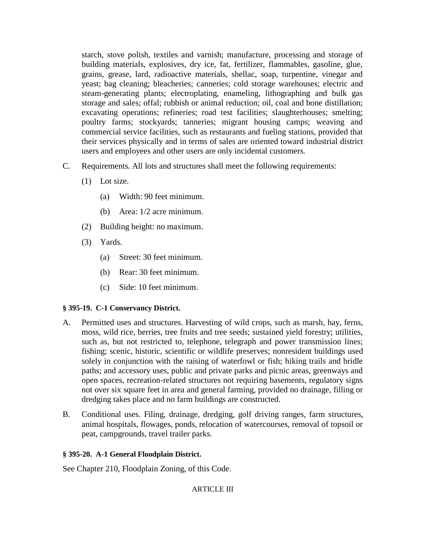starch, stove polish, textiles and varnish; manufacture, processing and storage of building materials, explosives, dry ice, fat, fertilizer, flammables, gasoline, glue, grains, grease, lard, radioactive materials, shellac, soap, turpentine, vinegar and yeast; bag cleaning; bleacheries; canneries; cold storage warehouses; electric and steam-generating plants; electroplating, enameling, lithographing and bulk gas storage and sales; offal; rubbish or animal reduction; oil, coal and bone distillation; excavating operations; refineries; road test facilities; slaughterhouses; smelting; poultry farms; stockyards; tanneries; migrant housing camps; weaving and commercial service facilities, such as restaurants and fueling stations, provided that their services physically and in terms of sales are oriented toward industrial district users and employees and other users are only incidental customers.

- C. Requirements. All lots and structures shall meet the following requirements:
	- (1) Lot size.
		- (a) Width: 90 feet minimum.
		- (b) Area: 1/2 acre minimum.
	- (2) Building height: no maximum.
	- (3) Yards.
		- (a) Street: 30 feet minimum.
		- (b) Rear: 30 feet minimum.
		- (c) Side: 10 feet minimum.

# **§ 395-19. C-1 Conservancy District.**

- A. Permitted uses and structures. Harvesting of wild crops, such as marsh, hay, ferns, moss, wild rice, berries, tree fruits and tree seeds; sustained yield forestry; utilities, such as, but not restricted to, telephone, telegraph and power transmission lines; fishing; scenic, historic, scientific or wildlife preserves; nonresident buildings used solely in conjunction with the raising of waterfowl or fish; hiking trails and bridle paths; and accessory uses, public and private parks and picnic areas, greenways and open spaces, recreation-related structures not requiring basements, regulatory signs not over six square feet in area and general farming, provided no drainage, filling or dredging takes place and no farm buildings are constructed.
- B. Conditional uses. Filing, drainage, dredging, golf driving ranges, farm structures, animal hospitals, flowages, ponds, relocation of watercourses, removal of topsoil or peat, campgrounds, travel trailer parks.

# **§ 395-20. A-1 General Floodplain District.**

See Chapter 210, Floodplain Zoning, of this Code.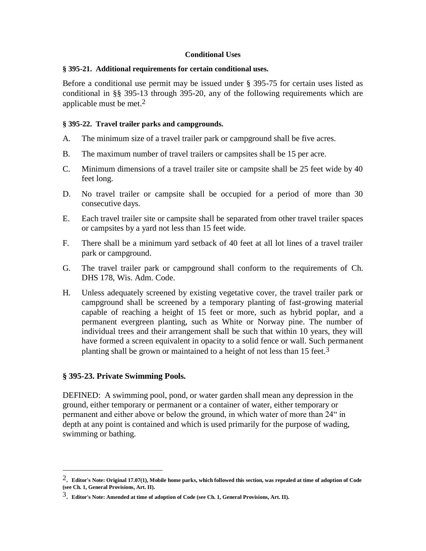#### **Conditional Uses**

#### **§ 395-21. Additional requirements for certain conditional uses.**

Before a conditional use permit may be issued under § 395-75 for certain uses listed as conditional in §§ 395-13 through 395-20, any of the following requirements which are applicable must be met.2

#### **§ 395-22. Travel trailer parks and campgrounds.**

- A. The minimum size of a travel trailer park or campground shall be five acres.
- B. The maximum number of travel trailers or campsites shall be 15 per acre.
- C. Minimum dimensions of a travel trailer site or campsite shall be 25 feet wide by 40 feet long.
- D. No travel trailer or campsite shall be occupied for a period of more than 30 consecutive days.
- E. Each travel trailer site or campsite shall be separated from other travel trailer spaces or campsites by a yard not less than 15 feet wide.
- F. There shall be a minimum yard setback of 40 feet at all lot lines of a travel trailer park or campground.
- G. The travel trailer park or campground shall conform to the requirements of Ch. DHS 178, Wis. Adm. Code.
- H. Unless adequately screened by existing vegetative cover, the travel trailer park or campground shall be screened by a temporary planting of fast-growing material capable of reaching a height of 15 feet or more, such as hybrid poplar, and a permanent evergreen planting, such as White or Norway pine. The number of individual trees and their arrangement shall be such that within 10 years, they will have formed a screen equivalent in opacity to a solid fence or wall. Such permanent planting shall be grown or maintained to a height of not less than 15 feet.3

### **§ 395-23. Private Swimming Pools.**

 $\overline{a}$ 

DEFINED: A swimming pool, pond, or water garden shall mean any depression in the ground, either temporary or permanent or a container of water, either temporary or permanent and either above or below the ground, in which water of more than 24" in depth at any point is contained and which is used primarily for the purpose of wading, swimming or bathing.

<sup>2</sup>. **Editor's Note: Original 17.07(1), Mobile home parks, which followed this section, was repealed at time of adoption of Code (see Ch. 1, General Provisions, Art. II).** 

<sup>3</sup>. **Editor's Note: Amended at time of adoption of Code (see Ch. 1, General Provisions, Art. II).**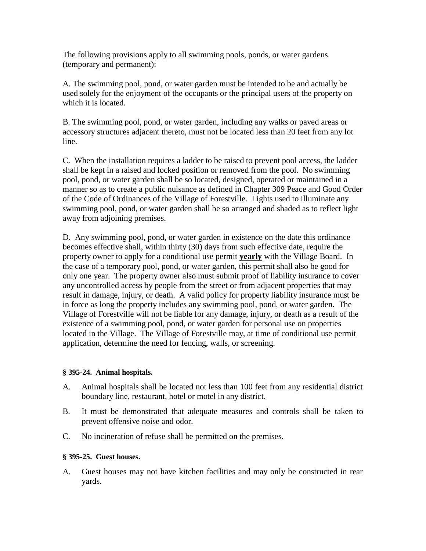The following provisions apply to all swimming pools, ponds, or water gardens (temporary and permanent):

A. The swimming pool, pond, or water garden must be intended to be and actually be used solely for the enjoyment of the occupants or the principal users of the property on which it is located.

B. The swimming pool, pond, or water garden, including any walks or paved areas or accessory structures adjacent thereto, must not be located less than 20 feet from any lot line.

C. When the installation requires a ladder to be raised to prevent pool access, the ladder shall be kept in a raised and locked position or removed from the pool. No swimming pool, pond, or water garden shall be so located, designed, operated or maintained in a manner so as to create a public nuisance as defined in Chapter 309 Peace and Good Order of the Code of Ordinances of the Village of Forestville. Lights used to illuminate any swimming pool, pond, or water garden shall be so arranged and shaded as to reflect light away from adjoining premises.

D. Any swimming pool, pond, or water garden in existence on the date this ordinance becomes effective shall, within thirty (30) days from such effective date, require the property owner to apply for a conditional use permit **yearly** with the Village Board. In the case of a temporary pool, pond, or water garden, this permit shall also be good for only one year. The property owner also must submit proof of liability insurance to cover any uncontrolled access by people from the street or from adjacent properties that may result in damage, injury, or death. A valid policy for property liability insurance must be in force as long the property includes any swimming pool, pond, or water garden. The Village of Forestville will not be liable for any damage, injury, or death as a result of the existence of a swimming pool, pond, or water garden for personal use on properties located in the Village. The Village of Forestville may, at time of conditional use permit application, determine the need for fencing, walls, or screening.

### **§ 395-24. Animal hospitals.**

- A. Animal hospitals shall be located not less than 100 feet from any residential district boundary line, restaurant, hotel or motel in any district.
- B. It must be demonstrated that adequate measures and controls shall be taken to prevent offensive noise and odor.
- C. No incineration of refuse shall be permitted on the premises.

### **§ 395-25. Guest houses.**

A. Guest houses may not have kitchen facilities and may only be constructed in rear yards.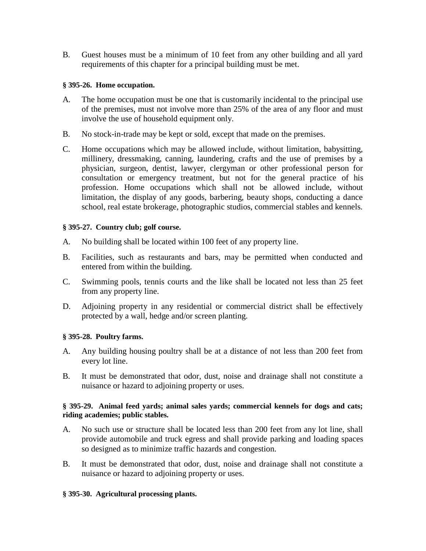B. Guest houses must be a minimum of 10 feet from any other building and all yard requirements of this chapter for a principal building must be met.

### **§ 395-26. Home occupation.**

- A. The home occupation must be one that is customarily incidental to the principal use of the premises, must not involve more than 25% of the area of any floor and must involve the use of household equipment only.
- B. No stock-in-trade may be kept or sold, except that made on the premises.
- C. Home occupations which may be allowed include, without limitation, babysitting, millinery, dressmaking, canning, laundering, crafts and the use of premises by a physician, surgeon, dentist, lawyer, clergyman or other professional person for consultation or emergency treatment, but not for the general practice of his profession. Home occupations which shall not be allowed include, without limitation, the display of any goods, barbering, beauty shops, conducting a dance school, real estate brokerage, photographic studios, commercial stables and kennels.

#### **§ 395-27. Country club; golf course.**

- A. No building shall be located within 100 feet of any property line.
- B. Facilities, such as restaurants and bars, may be permitted when conducted and entered from within the building.
- C. Swimming pools, tennis courts and the like shall be located not less than 25 feet from any property line.
- D. Adjoining property in any residential or commercial district shall be effectively protected by a wall, hedge and/or screen planting.

### **§ 395-28. Poultry farms.**

- A. Any building housing poultry shall be at a distance of not less than 200 feet from every lot line.
- B. It must be demonstrated that odor, dust, noise and drainage shall not constitute a nuisance or hazard to adjoining property or uses.

#### **§ 395-29. Animal feed yards; animal sales yards; commercial kennels for dogs and cats; riding academies; public stables.**

- A. No such use or structure shall be located less than 200 feet from any lot line, shall provide automobile and truck egress and shall provide parking and loading spaces so designed as to minimize traffic hazards and congestion.
- B. It must be demonstrated that odor, dust, noise and drainage shall not constitute a nuisance or hazard to adjoining property or uses.

### **§ 395-30. Agricultural processing plants.**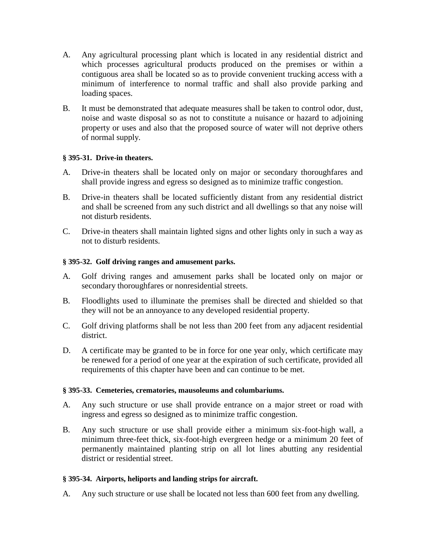- A. Any agricultural processing plant which is located in any residential district and which processes agricultural products produced on the premises or within a contiguous area shall be located so as to provide convenient trucking access with a minimum of interference to normal traffic and shall also provide parking and loading spaces.
- B. It must be demonstrated that adequate measures shall be taken to control odor, dust, noise and waste disposal so as not to constitute a nuisance or hazard to adjoining property or uses and also that the proposed source of water will not deprive others of normal supply.

#### **§ 395-31. Drive-in theaters.**

- A. Drive-in theaters shall be located only on major or secondary thoroughfares and shall provide ingress and egress so designed as to minimize traffic congestion.
- B. Drive-in theaters shall be located sufficiently distant from any residential district and shall be screened from any such district and all dwellings so that any noise will not disturb residents.
- C. Drive-in theaters shall maintain lighted signs and other lights only in such a way as not to disturb residents.

#### **§ 395-32. Golf driving ranges and amusement parks.**

- A. Golf driving ranges and amusement parks shall be located only on major or secondary thoroughfares or nonresidential streets.
- B. Floodlights used to illuminate the premises shall be directed and shielded so that they will not be an annoyance to any developed residential property.
- C. Golf driving platforms shall be not less than 200 feet from any adjacent residential district.
- D. A certificate may be granted to be in force for one year only, which certificate may be renewed for a period of one year at the expiration of such certificate, provided all requirements of this chapter have been and can continue to be met.

### **§ 395-33. Cemeteries, crematories, mausoleums and columbariums.**

- A. Any such structure or use shall provide entrance on a major street or road with ingress and egress so designed as to minimize traffic congestion.
- B. Any such structure or use shall provide either a minimum six-foot-high wall, a minimum three-feet thick, six-foot-high evergreen hedge or a minimum 20 feet of permanently maintained planting strip on all lot lines abutting any residential district or residential street.

### **§ 395-34. Airports, heliports and landing strips for aircraft.**

A. Any such structure or use shall be located not less than 600 feet from any dwelling.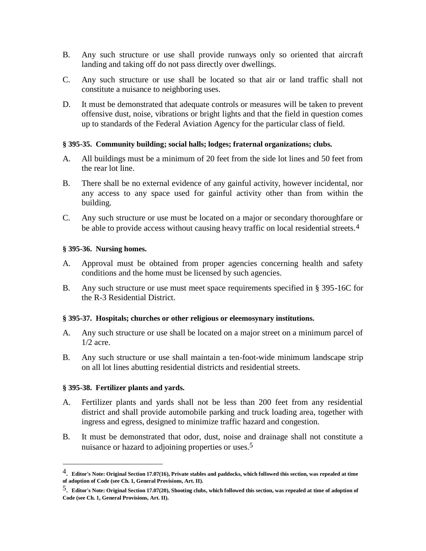- B. Any such structure or use shall provide runways only so oriented that aircraft landing and taking off do not pass directly over dwellings.
- C. Any such structure or use shall be located so that air or land traffic shall not constitute a nuisance to neighboring uses.
- D. It must be demonstrated that adequate controls or measures will be taken to prevent offensive dust, noise, vibrations or bright lights and that the field in question comes up to standards of the Federal Aviation Agency for the particular class of field.

#### **§ 395-35. Community building; social halls; lodges; fraternal organizations; clubs.**

- A. All buildings must be a minimum of 20 feet from the side lot lines and 50 feet from the rear lot line.
- B. There shall be no external evidence of any gainful activity, however incidental, nor any access to any space used for gainful activity other than from within the building.
- C. Any such structure or use must be located on a major or secondary thoroughfare or be able to provide access without causing heavy traffic on local residential streets.<sup>4</sup>

#### **§ 395-36. Nursing homes.**

- A. Approval must be obtained from proper agencies concerning health and safety conditions and the home must be licensed by such agencies.
- B. Any such structure or use must meet space requirements specified in § 395-16C for the R-3 Residential District.

#### **§ 395-37. Hospitals; churches or other religious or eleemosynary institutions.**

- A. Any such structure or use shall be located on a major street on a minimum parcel of 1/2 acre.
- B. Any such structure or use shall maintain a ten-foot-wide minimum landscape strip on all lot lines abutting residential districts and residential streets.

### **§ 395-38. Fertilizer plants and yards.**

 $\overline{\phantom{a}}$ 

- A. Fertilizer plants and yards shall not be less than 200 feet from any residential district and shall provide automobile parking and truck loading area, together with ingress and egress, designed to minimize traffic hazard and congestion.
- B. It must be demonstrated that odor, dust, noise and drainage shall not constitute a nuisance or hazard to adjoining properties or uses.<sup>5</sup>

<sup>4</sup>. **Editor's Note: Original Section 17.07(16), Private stables and paddocks, which followed this section, was repealed at time of adoption of Code (see Ch. 1, General Provisions, Art. II).** 

<sup>5</sup>. **Editor's Note: Original Section 17.07(20), Shooting clubs, which followed this section, was repealed at time of adoption of Code (see Ch. 1, General Provisions, Art. II).**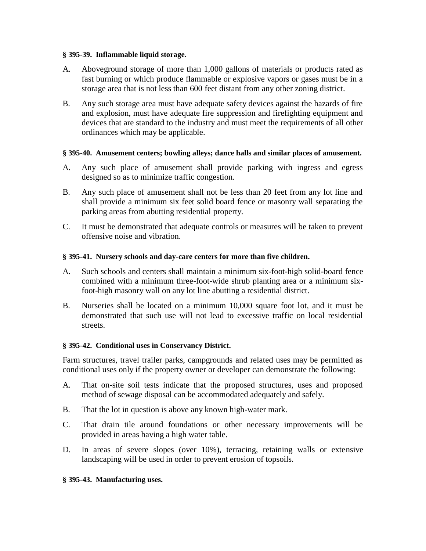#### **§ 395-39. Inflammable liquid storage.**

- A. Aboveground storage of more than 1,000 gallons of materials or products rated as fast burning or which produce flammable or explosive vapors or gases must be in a storage area that is not less than 600 feet distant from any other zoning district.
- B. Any such storage area must have adequate safety devices against the hazards of fire and explosion, must have adequate fire suppression and firefighting equipment and devices that are standard to the industry and must meet the requirements of all other ordinances which may be applicable.

# **§ 395-40. Amusement centers; bowling alleys; dance halls and similar places of amusement.**

- A. Any such place of amusement shall provide parking with ingress and egress designed so as to minimize traffic congestion.
- B. Any such place of amusement shall not be less than 20 feet from any lot line and shall provide a minimum six feet solid board fence or masonry wall separating the parking areas from abutting residential property.
- C. It must be demonstrated that adequate controls or measures will be taken to prevent offensive noise and vibration.

# **§ 395-41. Nursery schools and day-care centers for more than five children.**

- A. Such schools and centers shall maintain a minimum six-foot-high solid-board fence combined with a minimum three-foot-wide shrub planting area or a minimum sixfoot-high masonry wall on any lot line abutting a residential district.
- B. Nurseries shall be located on a minimum 10,000 square foot lot, and it must be demonstrated that such use will not lead to excessive traffic on local residential streets.

### **§ 395-42. Conditional uses in Conservancy District.**

Farm structures, travel trailer parks, campgrounds and related uses may be permitted as conditional uses only if the property owner or developer can demonstrate the following:

- A. That on-site soil tests indicate that the proposed structures, uses and proposed method of sewage disposal can be accommodated adequately and safely.
- B. That the lot in question is above any known high-water mark.
- C. That drain tile around foundations or other necessary improvements will be provided in areas having a high water table.
- D. In areas of severe slopes (over 10%), terracing, retaining walls or extensive landscaping will be used in order to prevent erosion of topsoils.

### **§ 395-43. Manufacturing uses.**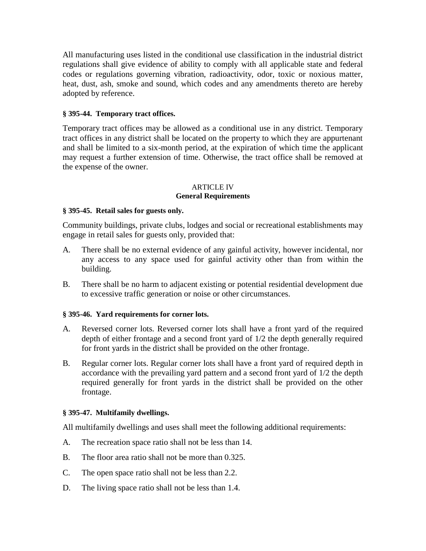All manufacturing uses listed in the conditional use classification in the industrial district regulations shall give evidence of ability to comply with all applicable state and federal codes or regulations governing vibration, radioactivity, odor, toxic or noxious matter, heat, dust, ash, smoke and sound, which codes and any amendments thereto are hereby adopted by reference.

## **§ 395-44. Temporary tract offices.**

Temporary tract offices may be allowed as a conditional use in any district. Temporary tract offices in any district shall be located on the property to which they are appurtenant and shall be limited to a six-month period, at the expiration of which time the applicant may request a further extension of time. Otherwise, the tract office shall be removed at the expense of the owner.

### ARTICLE IV **General Requirements**

#### **§ 395-45. Retail sales for guests only.**

Community buildings, private clubs, lodges and social or recreational establishments may engage in retail sales for guests only, provided that:

- A. There shall be no external evidence of any gainful activity, however incidental, nor any access to any space used for gainful activity other than from within the building.
- B. There shall be no harm to adjacent existing or potential residential development due to excessive traffic generation or noise or other circumstances.

### **§ 395-46. Yard requirements for corner lots.**

- A. Reversed corner lots. Reversed corner lots shall have a front yard of the required depth of either frontage and a second front yard of 1/2 the depth generally required for front yards in the district shall be provided on the other frontage.
- B. Regular corner lots. Regular corner lots shall have a front yard of required depth in accordance with the prevailing yard pattern and a second front yard of 1/2 the depth required generally for front yards in the district shall be provided on the other frontage.

### **§ 395-47. Multifamily dwellings.**

All multifamily dwellings and uses shall meet the following additional requirements:

- A. The recreation space ratio shall not be less than 14.
- B. The floor area ratio shall not be more than 0.325.
- C. The open space ratio shall not be less than 2.2.
- D. The living space ratio shall not be less than 1.4.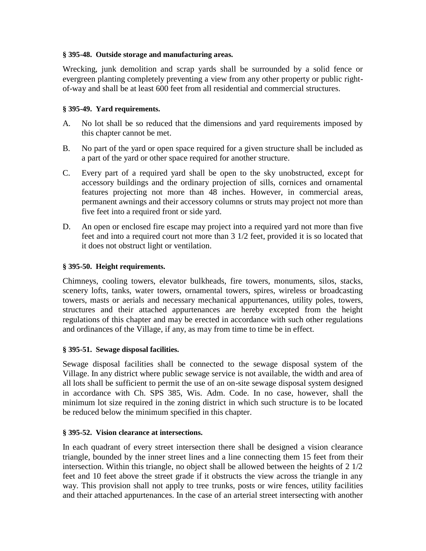### **§ 395-48. Outside storage and manufacturing areas.**

Wrecking, junk demolition and scrap yards shall be surrounded by a solid fence or evergreen planting completely preventing a view from any other property or public rightof-way and shall be at least 600 feet from all residential and commercial structures.

## **§ 395-49. Yard requirements.**

- A. No lot shall be so reduced that the dimensions and yard requirements imposed by this chapter cannot be met.
- B. No part of the yard or open space required for a given structure shall be included as a part of the yard or other space required for another structure.
- C. Every part of a required yard shall be open to the sky unobstructed, except for accessory buildings and the ordinary projection of sills, cornices and ornamental features projecting not more than 48 inches. However, in commercial areas, permanent awnings and their accessory columns or struts may project not more than five feet into a required front or side yard.
- D. An open or enclosed fire escape may project into a required yard not more than five feet and into a required court not more than 3 1/2 feet, provided it is so located that it does not obstruct light or ventilation.

### **§ 395-50. Height requirements.**

Chimneys, cooling towers, elevator bulkheads, fire towers, monuments, silos, stacks, scenery lofts, tanks, water towers, ornamental towers, spires, wireless or broadcasting towers, masts or aerials and necessary mechanical appurtenances, utility poles, towers, structures and their attached appurtenances are hereby excepted from the height regulations of this chapter and may be erected in accordance with such other regulations and ordinances of the Village, if any, as may from time to time be in effect.

### **§ 395-51. Sewage disposal facilities.**

Sewage disposal facilities shall be connected to the sewage disposal system of the Village. In any district where public sewage service is not available, the width and area of all lots shall be sufficient to permit the use of an on-site sewage disposal system designed in accordance with Ch. SPS 385, Wis. Adm. Code. In no case, however, shall the minimum lot size required in the zoning district in which such structure is to be located be reduced below the minimum specified in this chapter.

### **§ 395-52. Vision clearance at intersections.**

In each quadrant of every street intersection there shall be designed a vision clearance triangle, bounded by the inner street lines and a line connecting them 15 feet from their intersection. Within this triangle, no object shall be allowed between the heights of 2 1/2 feet and 10 feet above the street grade if it obstructs the view across the triangle in any way. This provision shall not apply to tree trunks, posts or wire fences, utility facilities and their attached appurtenances. In the case of an arterial street intersecting with another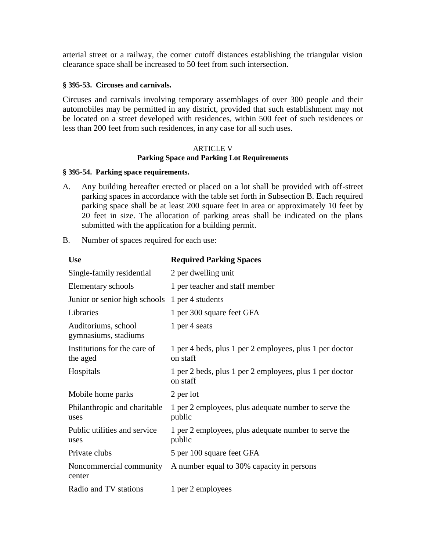arterial street or a railway, the corner cutoff distances establishing the triangular vision clearance space shall be increased to 50 feet from such intersection.

#### **§ 395-53. Circuses and carnivals.**

Circuses and carnivals involving temporary assemblages of over 300 people and their automobiles may be permitted in any district, provided that such establishment may not be located on a street developed with residences, within 500 feet of such residences or less than 200 feet from such residences, in any case for all such uses.

#### ARTICLE V **Parking Space and Parking Lot Requirements**

#### **§ 395-54. Parking space requirements.**

- A. Any building hereafter erected or placed on a lot shall be provided with off-street parking spaces in accordance with the table set forth in Subsection B. Each required parking space shall be at least 200 square feet in area or approximately 10 feet by 20 feet in size. The allocation of parking areas shall be indicated on the plans submitted with the application for a building permit.
- B. Number of spaces required for each use:

| <b>Use</b>                                     | <b>Required Parking Spaces</b>                                      |
|------------------------------------------------|---------------------------------------------------------------------|
| Single-family residential                      | 2 per dwelling unit                                                 |
| Elementary schools                             | 1 per teacher and staff member                                      |
| Junior or senior high schools 1 per 4 students |                                                                     |
| Libraries                                      | 1 per 300 square feet GFA                                           |
| Auditoriums, school<br>gymnasiums, stadiums    | 1 per 4 seats                                                       |
| Institutions for the care of<br>the aged       | 1 per 4 beds, plus 1 per 2 employees, plus 1 per doctor<br>on staff |
| Hospitals                                      | 1 per 2 beds, plus 1 per 2 employees, plus 1 per doctor<br>on staff |
| Mobile home parks                              | 2 per lot                                                           |
| Philanthropic and charitable<br>uses           | 1 per 2 employees, plus adequate number to serve the<br>public      |
| Public utilities and service<br>uses           | 1 per 2 employees, plus adequate number to serve the<br>public      |
| Private clubs                                  | 5 per 100 square feet GFA                                           |
| Noncommercial community<br>center              | A number equal to 30% capacity in persons                           |
| Radio and TV stations                          | 1 per 2 employees                                                   |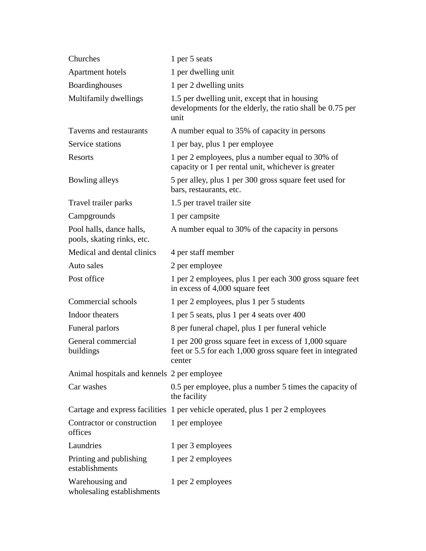| Churches                                               | 1 per 5 seats                                                                                                                 |
|--------------------------------------------------------|-------------------------------------------------------------------------------------------------------------------------------|
| <b>Apartment hotels</b>                                | 1 per dwelling unit                                                                                                           |
| Boardinghouses                                         | 1 per 2 dwelling units                                                                                                        |
| Multifamily dwellings                                  | 1.5 per dwelling unit, except that in housing<br>developments for the elderly, the ratio shall be 0.75 per<br>unit            |
| Taverns and restaurants                                | A number equal to 35% of capacity in persons                                                                                  |
| Service stations                                       | 1 per bay, plus 1 per employee                                                                                                |
| Resorts                                                | 1 per 2 employees, plus a number equal to 30% of<br>capacity or 1 per rental unit, whichever is greater                       |
| Bowling alleys                                         | 5 per alley, plus 1 per 300 gross square feet used for<br>bars, restaurants, etc.                                             |
| Travel trailer parks                                   | 1.5 per travel trailer site                                                                                                   |
| Campgrounds                                            | 1 per campsite                                                                                                                |
| Pool halls, dance halls,<br>pools, skating rinks, etc. | A number equal to 30% of the capacity in persons                                                                              |
| Medical and dental clinics                             | 4 per staff member                                                                                                            |
| Auto sales                                             | 2 per employee                                                                                                                |
| Post office                                            | 1 per 2 employees, plus 1 per each 300 gross square feet<br>in excess of 4,000 square feet                                    |
| Commercial schools                                     | 1 per 2 employees, plus 1 per 5 students                                                                                      |
| Indoor theaters                                        | 1 per 5 seats, plus 1 per 4 seats over 400                                                                                    |
| Funeral parlors                                        | 8 per funeral chapel, plus 1 per funeral vehicle                                                                              |
| General commercial<br>buildings                        | 1 per 200 gross square feet in excess of 1,000 square<br>feet or 5.5 for each 1,000 gross square feet in integrated<br>center |
| Animal hospitals and kennels 2 per employee            |                                                                                                                               |
| Car washes                                             | 0.5 per employee, plus a number 5 times the capacity of<br>the facility                                                       |
|                                                        | Cartage and express facilities 1 per vehicle operated, plus 1 per 2 employees                                                 |
| Contractor or construction<br>offices                  | 1 per employee                                                                                                                |
| Laundries                                              | 1 per 3 employees                                                                                                             |
| Printing and publishing<br>establishments              | 1 per 2 employees                                                                                                             |
| Warehousing and<br>wholesaling establishments          | 1 per 2 employees                                                                                                             |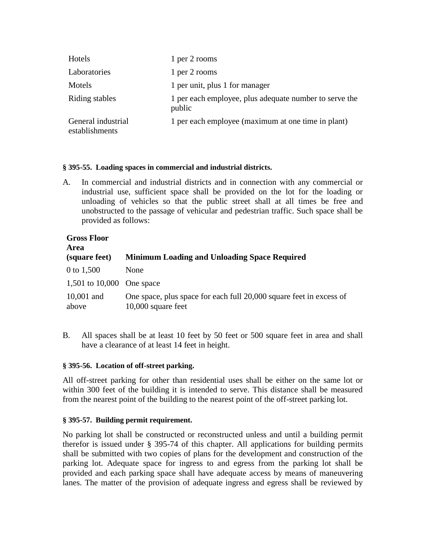| Hotels                               | 1 per 2 rooms                                                    |
|--------------------------------------|------------------------------------------------------------------|
| Laboratories                         | 1 per 2 rooms                                                    |
| Motels                               | 1 per unit, plus 1 for manager                                   |
| Riding stables                       | 1 per each employee, plus adequate number to serve the<br>public |
| General industrial<br>establishments | 1 per each employee (maximum at one time in plant)               |

### **§ 395-55. Loading spaces in commercial and industrial districts.**

A. In commercial and industrial districts and in connection with any commercial or industrial use, sufficient space shall be provided on the lot for the loading or unloading of vehicles so that the public street shall at all times be free and unobstructed to the passage of vehicular and pedestrian traffic. Such space shall be provided as follows:

| <b>Gross Floor</b><br>Area |                                                                                             |
|----------------------------|---------------------------------------------------------------------------------------------|
| (square feet)              | <b>Minimum Loading and Unloading Space Required</b>                                         |
| 0 to $1,500$               | None                                                                                        |
| 1,501 to 10,000 One space  |                                                                                             |
| $10,001$ and<br>above      | One space, plus space for each full 20,000 square feet in excess of<br>$10,000$ square feet |

B. All spaces shall be at least 10 feet by 50 feet or 500 square feet in area and shall have a clearance of at least 14 feet in height.

### **§ 395-56. Location of off-street parking.**

All off-street parking for other than residential uses shall be either on the same lot or within 300 feet of the building it is intended to serve. This distance shall be measured from the nearest point of the building to the nearest point of the off-street parking lot.

### **§ 395-57. Building permit requirement.**

No parking lot shall be constructed or reconstructed unless and until a building permit therefor is issued under § 395-74 of this chapter. All applications for building permits shall be submitted with two copies of plans for the development and construction of the parking lot. Adequate space for ingress to and egress from the parking lot shall be provided and each parking space shall have adequate access by means of maneuvering lanes. The matter of the provision of adequate ingress and egress shall be reviewed by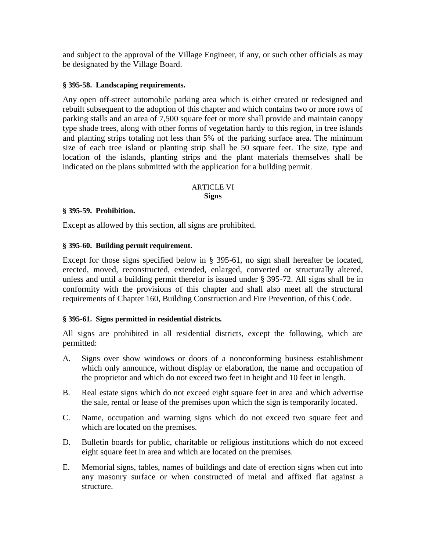and subject to the approval of the Village Engineer, if any, or such other officials as may be designated by the Village Board.

### **§ 395-58. Landscaping requirements.**

Any open off-street automobile parking area which is either created or redesigned and rebuilt subsequent to the adoption of this chapter and which contains two or more rows of parking stalls and an area of 7,500 square feet or more shall provide and maintain canopy type shade trees, along with other forms of vegetation hardy to this region, in tree islands and planting strips totaling not less than 5% of the parking surface area. The minimum size of each tree island or planting strip shall be 50 square feet. The size, type and location of the islands, planting strips and the plant materials themselves shall be indicated on the plans submitted with the application for a building permit.

#### ARTICLE VI **Signs**

#### **§ 395-59. Prohibition.**

Except as allowed by this section, all signs are prohibited.

### **§ 395-60. Building permit requirement.**

Except for those signs specified below in § 395-61, no sign shall hereafter be located, erected, moved, reconstructed, extended, enlarged, converted or structurally altered, unless and until a building permit therefor is issued under § 395-72. All signs shall be in conformity with the provisions of this chapter and shall also meet all the structural requirements of Chapter 160, Building Construction and Fire Prevention, of this Code.

#### **§ 395-61. Signs permitted in residential districts.**

All signs are prohibited in all residential districts, except the following, which are permitted:

- A. Signs over show windows or doors of a nonconforming business establishment which only announce, without display or elaboration, the name and occupation of the proprietor and which do not exceed two feet in height and 10 feet in length.
- B. Real estate signs which do not exceed eight square feet in area and which advertise the sale, rental or lease of the premises upon which the sign is temporarily located.
- C. Name, occupation and warning signs which do not exceed two square feet and which are located on the premises.
- D. Bulletin boards for public, charitable or religious institutions which do not exceed eight square feet in area and which are located on the premises.
- E. Memorial signs, tables, names of buildings and date of erection signs when cut into any masonry surface or when constructed of metal and affixed flat against a structure.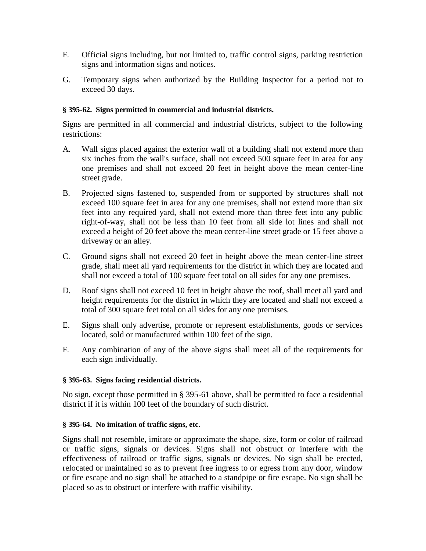- F. Official signs including, but not limited to, traffic control signs, parking restriction signs and information signs and notices.
- G. Temporary signs when authorized by the Building Inspector for a period not to exceed 30 days.

# **§ 395-62. Signs permitted in commercial and industrial districts.**

Signs are permitted in all commercial and industrial districts, subject to the following restrictions:

- A. Wall signs placed against the exterior wall of a building shall not extend more than six inches from the wall's surface, shall not exceed 500 square feet in area for any one premises and shall not exceed 20 feet in height above the mean center-line street grade.
- B. Projected signs fastened to, suspended from or supported by structures shall not exceed 100 square feet in area for any one premises, shall not extend more than six feet into any required yard, shall not extend more than three feet into any public right-of-way, shall not be less than 10 feet from all side lot lines and shall not exceed a height of 20 feet above the mean center-line street grade or 15 feet above a driveway or an alley.
- C. Ground signs shall not exceed 20 feet in height above the mean center-line street grade, shall meet all yard requirements for the district in which they are located and shall not exceed a total of 100 square feet total on all sides for any one premises.
- D. Roof signs shall not exceed 10 feet in height above the roof, shall meet all yard and height requirements for the district in which they are located and shall not exceed a total of 300 square feet total on all sides for any one premises.
- E. Signs shall only advertise, promote or represent establishments, goods or services located, sold or manufactured within 100 feet of the sign.
- F. Any combination of any of the above signs shall meet all of the requirements for each sign individually.

### **§ 395-63. Signs facing residential districts.**

No sign, except those permitted in § 395-61 above, shall be permitted to face a residential district if it is within 100 feet of the boundary of such district.

### **§ 395-64. No imitation of traffic signs, etc.**

Signs shall not resemble, imitate or approximate the shape, size, form or color of railroad or traffic signs, signals or devices. Signs shall not obstruct or interfere with the effectiveness of railroad or traffic signs, signals or devices. No sign shall be erected, relocated or maintained so as to prevent free ingress to or egress from any door, window or fire escape and no sign shall be attached to a standpipe or fire escape. No sign shall be placed so as to obstruct or interfere with traffic visibility.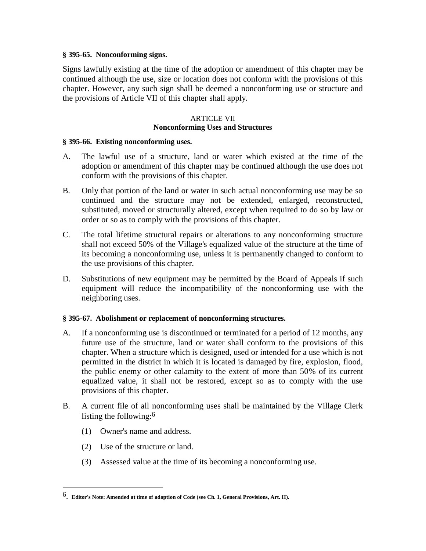#### **§ 395-65. Nonconforming signs.**

Signs lawfully existing at the time of the adoption or amendment of this chapter may be continued although the use, size or location does not conform with the provisions of this chapter. However, any such sign shall be deemed a nonconforming use or structure and the provisions of Article VII of this chapter shall apply.

#### ARTICLE VII **Nonconforming Uses and Structures**

#### **§ 395-66. Existing nonconforming uses.**

- A. The lawful use of a structure, land or water which existed at the time of the adoption or amendment of this chapter may be continued although the use does not conform with the provisions of this chapter.
- B. Only that portion of the land or water in such actual nonconforming use may be so continued and the structure may not be extended, enlarged, reconstructed, substituted, moved or structurally altered, except when required to do so by law or order or so as to comply with the provisions of this chapter.
- C. The total lifetime structural repairs or alterations to any nonconforming structure shall not exceed 50% of the Village's equalized value of the structure at the time of its becoming a nonconforming use, unless it is permanently changed to conform to the use provisions of this chapter.
- D. Substitutions of new equipment may be permitted by the Board of Appeals if such equipment will reduce the incompatibility of the nonconforming use with the neighboring uses.

#### **§ 395-67. Abolishment or replacement of nonconforming structures.**

- A. If a nonconforming use is discontinued or terminated for a period of 12 months, any future use of the structure, land or water shall conform to the provisions of this chapter. When a structure which is designed, used or intended for a use which is not permitted in the district in which it is located is damaged by fire, explosion, flood, the public enemy or other calamity to the extent of more than 50% of its current equalized value, it shall not be restored, except so as to comply with the use provisions of this chapter.
- B. A current file of all nonconforming uses shall be maintained by the Village Clerk listing the following:6
	- (1) Owner's name and address.
	- (2) Use of the structure or land.

 $\overline{\phantom{a}}$ 

(3) Assessed value at the time of its becoming a nonconforming use.

<sup>6</sup>. **Editor's Note: Amended at time of adoption of Code (see Ch. 1, General Provisions, Art. II).**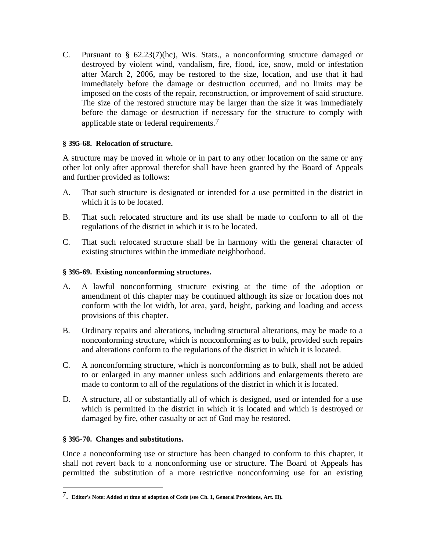C. Pursuant to § 62.23(7)(hc), Wis. Stats., a nonconforming structure damaged or destroyed by violent wind, vandalism, fire, flood, ice, snow, mold or infestation after March 2, 2006, may be restored to the size, location, and use that it had immediately before the damage or destruction occurred, and no limits may be imposed on the costs of the repair, reconstruction, or improvement of said structure. The size of the restored structure may be larger than the size it was immediately before the damage or destruction if necessary for the structure to comply with applicable state or federal requirements.<sup>7</sup>

### **§ 395-68. Relocation of structure.**

A structure may be moved in whole or in part to any other location on the same or any other lot only after approval therefor shall have been granted by the Board of Appeals and further provided as follows:

- A. That such structure is designated or intended for a use permitted in the district in which it is to be located.
- B. That such relocated structure and its use shall be made to conform to all of the regulations of the district in which it is to be located.
- C. That such relocated structure shall be in harmony with the general character of existing structures within the immediate neighborhood.

### **§ 395-69. Existing nonconforming structures.**

- A. A lawful nonconforming structure existing at the time of the adoption or amendment of this chapter may be continued although its size or location does not conform with the lot width, lot area, yard, height, parking and loading and access provisions of this chapter.
- B. Ordinary repairs and alterations, including structural alterations, may be made to a nonconforming structure, which is nonconforming as to bulk, provided such repairs and alterations conform to the regulations of the district in which it is located.
- C. A nonconforming structure, which is nonconforming as to bulk, shall not be added to or enlarged in any manner unless such additions and enlargements thereto are made to conform to all of the regulations of the district in which it is located.
- D. A structure, all or substantially all of which is designed, used or intended for a use which is permitted in the district in which it is located and which is destroyed or damaged by fire, other casualty or act of God may be restored.

#### **§ 395-70. Changes and substitutions.**

 $\overline{\phantom{a}}$ 

Once a nonconforming use or structure has been changed to conform to this chapter, it shall not revert back to a nonconforming use or structure. The Board of Appeals has permitted the substitution of a more restrictive nonconforming use for an existing

<sup>7</sup>. **Editor's Note: Added at time of adoption of Code (see Ch. 1, General Provisions, Art. II).**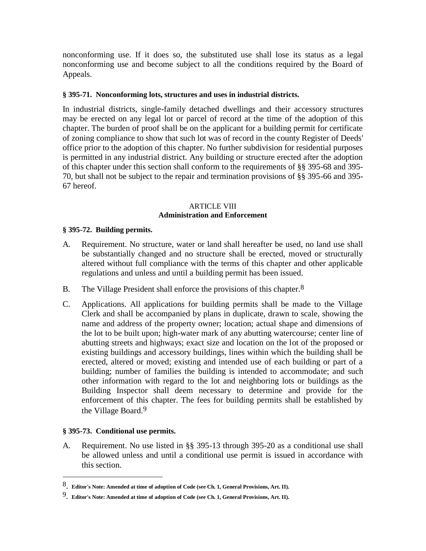nonconforming use. If it does so, the substituted use shall lose its status as a legal nonconforming use and become subject to all the conditions required by the Board of Appeals.

### **§ 395-71. Nonconforming lots, structures and uses in industrial districts.**

In industrial districts, single-family detached dwellings and their accessory structures may be erected on any legal lot or parcel of record at the time of the adoption of this chapter. The burden of proof shall be on the applicant for a building permit for certificate of zoning compliance to show that such lot was of record in the county Register of Deeds' office prior to the adoption of this chapter. No further subdivision for residential purposes is permitted in any industrial district. Any building or structure erected after the adoption of this chapter under this section shall conform to the requirements of §§ 395-68 and 395- 70, but shall not be subject to the repair and termination provisions of §§ 395-66 and 395- 67 hereof.

### ARTICLE VIII **Administration and Enforcement**

#### **§ 395-72. Building permits.**

- A. Requirement. No structure, water or land shall hereafter be used, no land use shall be substantially changed and no structure shall be erected, moved or structurally altered without full compliance with the terms of this chapter and other applicable regulations and unless and until a building permit has been issued.
- B. The Village President shall enforce the provisions of this chapter.<sup>8</sup>
- C. Applications. All applications for building permits shall be made to the Village Clerk and shall be accompanied by plans in duplicate, drawn to scale, showing the name and address of the property owner; location; actual shape and dimensions of the lot to be built upon; high-water mark of any abutting watercourse; center line of abutting streets and highways; exact size and location on the lot of the proposed or existing buildings and accessory buildings, lines within which the building shall be erected, altered or moved; existing and intended use of each building or part of a building; number of families the building is intended to accommodate; and such other information with regard to the lot and neighboring lots or buildings as the Building Inspector shall deem necessary to determine and provide for the enforcement of this chapter. The fees for building permits shall be established by the Village Board.9

#### **§ 395-73. Conditional use permits.**

 $\overline{\phantom{a}}$ 

A. Requirement. No use listed in §§ 395-13 through 395-20 as a conditional use shall be allowed unless and until a conditional use permit is issued in accordance with this section.

<sup>8</sup>. **Editor's Note: Amended at time of adoption of Code (see Ch. 1, General Provisions, Art. II).** 

<sup>9</sup>. **Editor's Note: Amended at time of adoption of Code (see Ch. 1, General Provisions, Art. II).**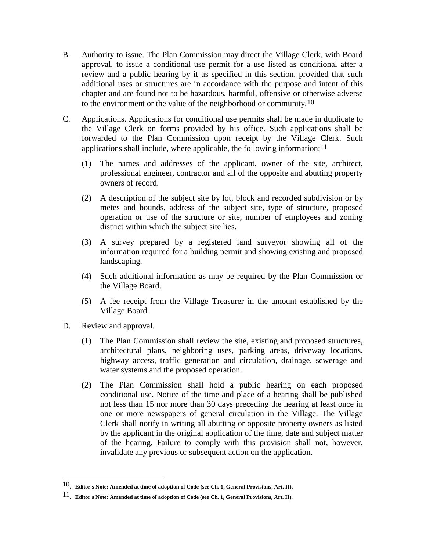- B. Authority to issue. The Plan Commission may direct the Village Clerk, with Board approval, to issue a conditional use permit for a use listed as conditional after a review and a public hearing by it as specified in this section, provided that such additional uses or structures are in accordance with the purpose and intent of this chapter and are found not to be hazardous, harmful, offensive or otherwise adverse to the environment or the value of the neighborhood or community.10
- C. Applications. Applications for conditional use permits shall be made in duplicate to the Village Clerk on forms provided by his office. Such applications shall be forwarded to the Plan Commission upon receipt by the Village Clerk. Such applications shall include, where applicable, the following information:  $11$ 
	- (1) The names and addresses of the applicant, owner of the site, architect, professional engineer, contractor and all of the opposite and abutting property owners of record.
	- (2) A description of the subject site by lot, block and recorded subdivision or by metes and bounds, address of the subject site, type of structure, proposed operation or use of the structure or site, number of employees and zoning district within which the subject site lies.
	- (3) A survey prepared by a registered land surveyor showing all of the information required for a building permit and showing existing and proposed landscaping.
	- (4) Such additional information as may be required by the Plan Commission or the Village Board.
	- (5) A fee receipt from the Village Treasurer in the amount established by the Village Board.
- D. Review and approval.

 $\overline{\phantom{a}}$ 

- (1) The Plan Commission shall review the site, existing and proposed structures, architectural plans, neighboring uses, parking areas, driveway locations, highway access, traffic generation and circulation, drainage, sewerage and water systems and the proposed operation.
- (2) The Plan Commission shall hold a public hearing on each proposed conditional use. Notice of the time and place of a hearing shall be published not less than 15 nor more than 30 days preceding the hearing at least once in one or more newspapers of general circulation in the Village. The Village Clerk shall notify in writing all abutting or opposite property owners as listed by the applicant in the original application of the time, date and subject matter of the hearing. Failure to comply with this provision shall not, however, invalidate any previous or subsequent action on the application.

<sup>10</sup>. **Editor's Note: Amended at time of adoption of Code (see Ch. 1, General Provisions, Art. II).** 

<sup>11</sup>. **Editor's Note: Amended at time of adoption of Code (see Ch. 1, General Provisions, Art. II).**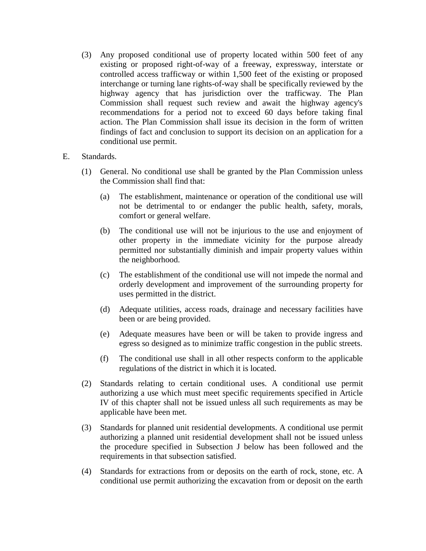- (3) Any proposed conditional use of property located within 500 feet of any existing or proposed right-of-way of a freeway, expressway, interstate or controlled access trafficway or within 1,500 feet of the existing or proposed interchange or turning lane rights-of-way shall be specifically reviewed by the highway agency that has jurisdiction over the trafficway. The Plan Commission shall request such review and await the highway agency's recommendations for a period not to exceed 60 days before taking final action. The Plan Commission shall issue its decision in the form of written findings of fact and conclusion to support its decision on an application for a conditional use permit.
- E. Standards.
	- (1) General. No conditional use shall be granted by the Plan Commission unless the Commission shall find that:
		- (a) The establishment, maintenance or operation of the conditional use will not be detrimental to or endanger the public health, safety, morals, comfort or general welfare.
		- (b) The conditional use will not be injurious to the use and enjoyment of other property in the immediate vicinity for the purpose already permitted nor substantially diminish and impair property values within the neighborhood.
		- (c) The establishment of the conditional use will not impede the normal and orderly development and improvement of the surrounding property for uses permitted in the district.
		- (d) Adequate utilities, access roads, drainage and necessary facilities have been or are being provided.
		- (e) Adequate measures have been or will be taken to provide ingress and egress so designed as to minimize traffic congestion in the public streets.
		- (f) The conditional use shall in all other respects conform to the applicable regulations of the district in which it is located.
	- (2) Standards relating to certain conditional uses. A conditional use permit authorizing a use which must meet specific requirements specified in Article IV of this chapter shall not be issued unless all such requirements as may be applicable have been met.
	- (3) Standards for planned unit residential developments. A conditional use permit authorizing a planned unit residential development shall not be issued unless the procedure specified in Subsection J below has been followed and the requirements in that subsection satisfied.
	- (4) Standards for extractions from or deposits on the earth of rock, stone, etc. A conditional use permit authorizing the excavation from or deposit on the earth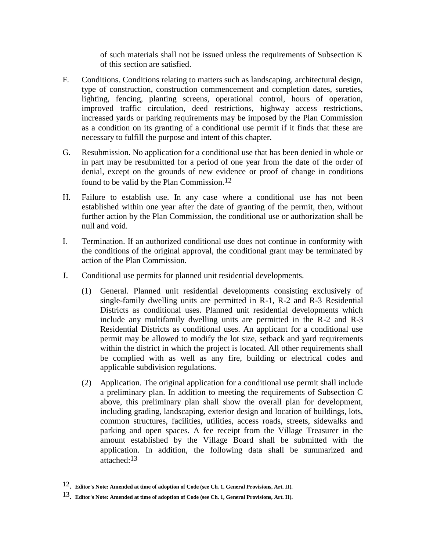of such materials shall not be issued unless the requirements of Subsection K of this section are satisfied.

- F. Conditions. Conditions relating to matters such as landscaping, architectural design, type of construction, construction commencement and completion dates, sureties, lighting, fencing, planting screens, operational control, hours of operation, improved traffic circulation, deed restrictions, highway access restrictions, increased yards or parking requirements may be imposed by the Plan Commission as a condition on its granting of a conditional use permit if it finds that these are necessary to fulfill the purpose and intent of this chapter.
- G. Resubmission. No application for a conditional use that has been denied in whole or in part may be resubmitted for a period of one year from the date of the order of denial, except on the grounds of new evidence or proof of change in conditions found to be valid by the Plan Commission.12
- H. Failure to establish use. In any case where a conditional use has not been established within one year after the date of granting of the permit, then, without further action by the Plan Commission, the conditional use or authorization shall be null and void.
- I. Termination. If an authorized conditional use does not continue in conformity with the conditions of the original approval, the conditional grant may be terminated by action of the Plan Commission.
- J. Conditional use permits for planned unit residential developments.
	- (1) General. Planned unit residential developments consisting exclusively of single-family dwelling units are permitted in R-1, R-2 and R-3 Residential Districts as conditional uses. Planned unit residential developments which include any multifamily dwelling units are permitted in the R-2 and R-3 Residential Districts as conditional uses. An applicant for a conditional use permit may be allowed to modify the lot size, setback and yard requirements within the district in which the project is located. All other requirements shall be complied with as well as any fire, building or electrical codes and applicable subdivision regulations.
	- (2) Application. The original application for a conditional use permit shall include a preliminary plan. In addition to meeting the requirements of Subsection C above, this preliminary plan shall show the overall plan for development, including grading, landscaping, exterior design and location of buildings, lots, common structures, facilities, utilities, access roads, streets, sidewalks and parking and open spaces. A fee receipt from the Village Treasurer in the amount established by the Village Board shall be submitted with the application. In addition, the following data shall be summarized and attached:13

 $\overline{\phantom{a}}$ 

<sup>12</sup>. **Editor's Note: Amended at time of adoption of Code (see Ch. 1, General Provisions, Art. II).** 

<sup>13</sup>. **Editor's Note: Amended at time of adoption of Code (see Ch. 1, General Provisions, Art. II).**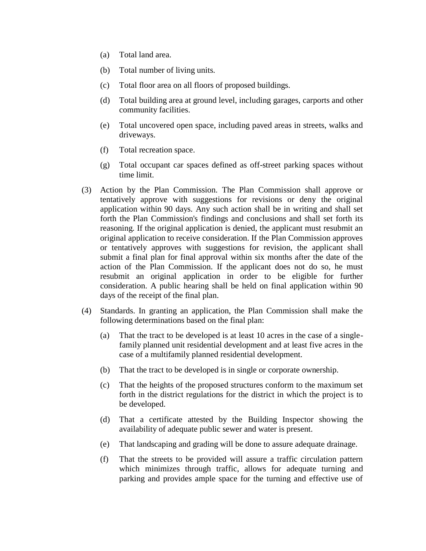- (a) Total land area.
- (b) Total number of living units.
- (c) Total floor area on all floors of proposed buildings.
- (d) Total building area at ground level, including garages, carports and other community facilities.
- (e) Total uncovered open space, including paved areas in streets, walks and driveways.
- (f) Total recreation space.
- (g) Total occupant car spaces defined as off-street parking spaces without time limit.
- (3) Action by the Plan Commission. The Plan Commission shall approve or tentatively approve with suggestions for revisions or deny the original application within 90 days. Any such action shall be in writing and shall set forth the Plan Commission's findings and conclusions and shall set forth its reasoning. If the original application is denied, the applicant must resubmit an original application to receive consideration. If the Plan Commission approves or tentatively approves with suggestions for revision, the applicant shall submit a final plan for final approval within six months after the date of the action of the Plan Commission. If the applicant does not do so, he must resubmit an original application in order to be eligible for further consideration. A public hearing shall be held on final application within 90 days of the receipt of the final plan.
- (4) Standards. In granting an application, the Plan Commission shall make the following determinations based on the final plan:
	- (a) That the tract to be developed is at least 10 acres in the case of a singlefamily planned unit residential development and at least five acres in the case of a multifamily planned residential development.
	- (b) That the tract to be developed is in single or corporate ownership.
	- (c) That the heights of the proposed structures conform to the maximum set forth in the district regulations for the district in which the project is to be developed.
	- (d) That a certificate attested by the Building Inspector showing the availability of adequate public sewer and water is present.
	- (e) That landscaping and grading will be done to assure adequate drainage.
	- (f) That the streets to be provided will assure a traffic circulation pattern which minimizes through traffic, allows for adequate turning and parking and provides ample space for the turning and effective use of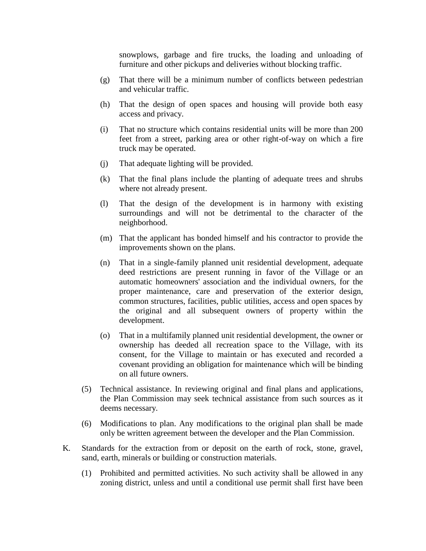snowplows, garbage and fire trucks, the loading and unloading of furniture and other pickups and deliveries without blocking traffic.

- (g) That there will be a minimum number of conflicts between pedestrian and vehicular traffic.
- (h) That the design of open spaces and housing will provide both easy access and privacy.
- (i) That no structure which contains residential units will be more than 200 feet from a street, parking area or other right-of-way on which a fire truck may be operated.
- (j) That adequate lighting will be provided.
- (k) That the final plans include the planting of adequate trees and shrubs where not already present.
- (l) That the design of the development is in harmony with existing surroundings and will not be detrimental to the character of the neighborhood.
- (m) That the applicant has bonded himself and his contractor to provide the improvements shown on the plans.
- (n) That in a single-family planned unit residential development, adequate deed restrictions are present running in favor of the Village or an automatic homeowners' association and the individual owners, for the proper maintenance, care and preservation of the exterior design, common structures, facilities, public utilities, access and open spaces by the original and all subsequent owners of property within the development.
- (o) That in a multifamily planned unit residential development, the owner or ownership has deeded all recreation space to the Village, with its consent, for the Village to maintain or has executed and recorded a covenant providing an obligation for maintenance which will be binding on all future owners.
- (5) Technical assistance. In reviewing original and final plans and applications, the Plan Commission may seek technical assistance from such sources as it deems necessary.
- (6) Modifications to plan. Any modifications to the original plan shall be made only be written agreement between the developer and the Plan Commission.
- K. Standards for the extraction from or deposit on the earth of rock, stone, gravel, sand, earth, minerals or building or construction materials.
	- (1) Prohibited and permitted activities. No such activity shall be allowed in any zoning district, unless and until a conditional use permit shall first have been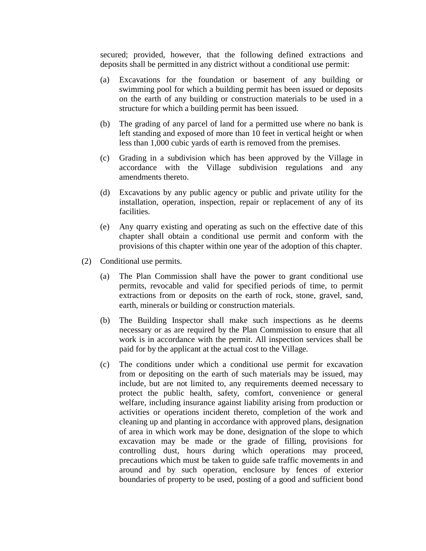secured; provided, however, that the following defined extractions and deposits shall be permitted in any district without a conditional use permit:

- (a) Excavations for the foundation or basement of any building or swimming pool for which a building permit has been issued or deposits on the earth of any building or construction materials to be used in a structure for which a building permit has been issued.
- (b) The grading of any parcel of land for a permitted use where no bank is left standing and exposed of more than 10 feet in vertical height or when less than 1,000 cubic yards of earth is removed from the premises.
- (c) Grading in a subdivision which has been approved by the Village in accordance with the Village subdivision regulations and any amendments thereto.
- (d) Excavations by any public agency or public and private utility for the installation, operation, inspection, repair or replacement of any of its facilities.
- (e) Any quarry existing and operating as such on the effective date of this chapter shall obtain a conditional use permit and conform with the provisions of this chapter within one year of the adoption of this chapter.
- (2) Conditional use permits.
	- (a) The Plan Commission shall have the power to grant conditional use permits, revocable and valid for specified periods of time, to permit extractions from or deposits on the earth of rock, stone, gravel, sand, earth, minerals or building or construction materials.
	- (b) The Building Inspector shall make such inspections as he deems necessary or as are required by the Plan Commission to ensure that all work is in accordance with the permit. All inspection services shall be paid for by the applicant at the actual cost to the Village.
	- (c) The conditions under which a conditional use permit for excavation from or depositing on the earth of such materials may be issued, may include, but are not limited to, any requirements deemed necessary to protect the public health, safety, comfort, convenience or general welfare, including insurance against liability arising from production or activities or operations incident thereto, completion of the work and cleaning up and planting in accordance with approved plans, designation of area in which work may be done, designation of the slope to which excavation may be made or the grade of filling, provisions for controlling dust, hours during which operations may proceed, precautions which must be taken to guide safe traffic movements in and around and by such operation, enclosure by fences of exterior boundaries of property to be used, posting of a good and sufficient bond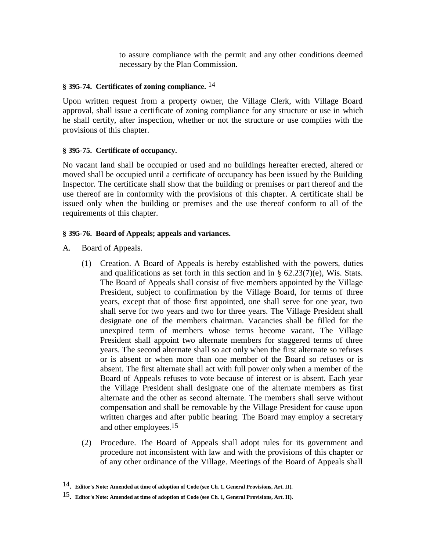to assure compliance with the permit and any other conditions deemed necessary by the Plan Commission.

### **§ 395-74. Certificates of zoning compliance.** 14

Upon written request from a property owner, the Village Clerk, with Village Board approval, shall issue a certificate of zoning compliance for any structure or use in which he shall certify, after inspection, whether or not the structure or use complies with the provisions of this chapter.

# **§ 395-75. Certificate of occupancy.**

No vacant land shall be occupied or used and no buildings hereafter erected, altered or moved shall be occupied until a certificate of occupancy has been issued by the Building Inspector. The certificate shall show that the building or premises or part thereof and the use thereof are in conformity with the provisions of this chapter. A certificate shall be issued only when the building or premises and the use thereof conform to all of the requirements of this chapter.

# **§ 395-76. Board of Appeals; appeals and variances.**

A. Board of Appeals.

 $\overline{\phantom{a}}$ 

- (1) Creation. A Board of Appeals is hereby established with the powers, duties and qualifications as set forth in this section and in  $\S$  62.23(7)(e), Wis. Stats. The Board of Appeals shall consist of five members appointed by the Village President, subject to confirmation by the Village Board, for terms of three years, except that of those first appointed, one shall serve for one year, two shall serve for two years and two for three years. The Village President shall designate one of the members chairman. Vacancies shall be filled for the unexpired term of members whose terms become vacant. The Village President shall appoint two alternate members for staggered terms of three years. The second alternate shall so act only when the first alternate so refuses or is absent or when more than one member of the Board so refuses or is absent. The first alternate shall act with full power only when a member of the Board of Appeals refuses to vote because of interest or is absent. Each year the Village President shall designate one of the alternate members as first alternate and the other as second alternate. The members shall serve without compensation and shall be removable by the Village President for cause upon written charges and after public hearing. The Board may employ a secretary and other employees.15
- (2) Procedure. The Board of Appeals shall adopt rules for its government and procedure not inconsistent with law and with the provisions of this chapter or of any other ordinance of the Village. Meetings of the Board of Appeals shall

<sup>14</sup>. **Editor's Note: Amended at time of adoption of Code (see Ch. 1, General Provisions, Art. II).** 

<sup>15</sup>. **Editor's Note: Amended at time of adoption of Code (see Ch. 1, General Provisions, Art. II).**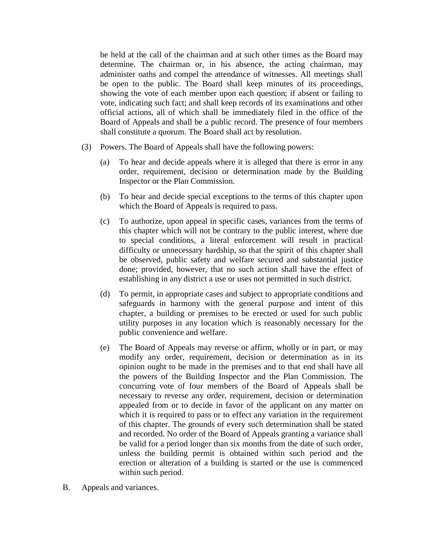be held at the call of the chairman and at such other times as the Board may determine. The chairman or, in his absence, the acting chairman, may administer oaths and compel the attendance of witnesses. All meetings shall be open to the public. The Board shall keep minutes of its proceedings, showing the vote of each member upon each question; if absent or failing to vote, indicating such fact; and shall keep records of its examinations and other official actions, all of which shall be immediately filed in the office of the Board of Appeals and shall be a public record. The presence of four members shall constitute a quorum. The Board shall act by resolution.

- (3) Powers. The Board of Appeals shall have the following powers:
	- (a) To hear and decide appeals where it is alleged that there is error in any order, requirement, decision or determination made by the Building Inspector or the Plan Commission.
	- (b) To hear and decide special exceptions to the terms of this chapter upon which the Board of Appeals is required to pass.
	- (c) To authorize, upon appeal in specific cases, variances from the terms of this chapter which will not be contrary to the public interest, where due to special conditions, a literal enforcement will result in practical difficulty or unnecessary hardship, so that the spirit of this chapter shall be observed, public safety and welfare secured and substantial justice done; provided, however, that no such action shall have the effect of establishing in any district a use or uses not permitted in such district.
	- (d) To permit, in appropriate cases and subject to appropriate conditions and safeguards in harmony with the general purpose and intent of this chapter, a building or premises to be erected or used for such public utility purposes in any location which is reasonably necessary for the public convenience and welfare.
	- (e) The Board of Appeals may reverse or affirm, wholly or in part, or may modify any order, requirement, decision or determination as in its opinion ought to be made in the premises and to that end shall have all the powers of the Building Inspector and the Plan Commission. The concurring vote of four members of the Board of Appeals shall be necessary to reverse any order, requirement, decision or determination appealed from or to decide in favor of the applicant on any matter on which it is required to pass or to effect any variation in the requirement of this chapter. The grounds of every such determination shall be stated and recorded. No order of the Board of Appeals granting a variance shall be valid for a period longer than six months from the date of such order, unless the building permit is obtained within such period and the erection or alteration of a building is started or the use is commenced within such period.
- B. Appeals and variances.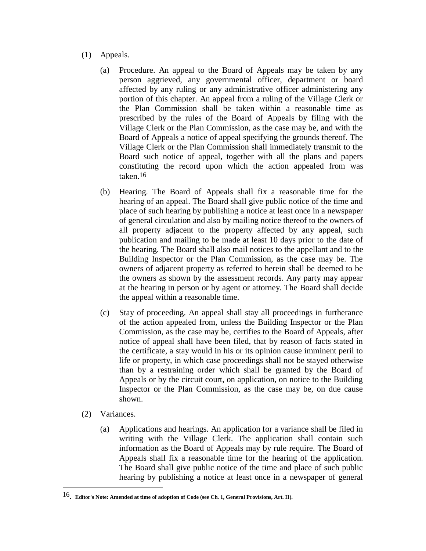- (1) Appeals.
	- (a) Procedure. An appeal to the Board of Appeals may be taken by any person aggrieved, any governmental officer, department or board affected by any ruling or any administrative officer administering any portion of this chapter. An appeal from a ruling of the Village Clerk or the Plan Commission shall be taken within a reasonable time as prescribed by the rules of the Board of Appeals by filing with the Village Clerk or the Plan Commission, as the case may be, and with the Board of Appeals a notice of appeal specifying the grounds thereof. The Village Clerk or the Plan Commission shall immediately transmit to the Board such notice of appeal, together with all the plans and papers constituting the record upon which the action appealed from was taken.16
	- (b) Hearing. The Board of Appeals shall fix a reasonable time for the hearing of an appeal. The Board shall give public notice of the time and place of such hearing by publishing a notice at least once in a newspaper of general circulation and also by mailing notice thereof to the owners of all property adjacent to the property affected by any appeal, such publication and mailing to be made at least 10 days prior to the date of the hearing. The Board shall also mail notices to the appellant and to the Building Inspector or the Plan Commission, as the case may be. The owners of adjacent property as referred to herein shall be deemed to be the owners as shown by the assessment records. Any party may appear at the hearing in person or by agent or attorney. The Board shall decide the appeal within a reasonable time.
	- (c) Stay of proceeding. An appeal shall stay all proceedings in furtherance of the action appealed from, unless the Building Inspector or the Plan Commission, as the case may be, certifies to the Board of Appeals, after notice of appeal shall have been filed, that by reason of facts stated in the certificate, a stay would in his or its opinion cause imminent peril to life or property, in which case proceedings shall not be stayed otherwise than by a restraining order which shall be granted by the Board of Appeals or by the circuit court, on application, on notice to the Building Inspector or the Plan Commission, as the case may be, on due cause shown.
- (2) Variances.

 $\overline{\phantom{a}}$ 

(a) Applications and hearings. An application for a variance shall be filed in writing with the Village Clerk. The application shall contain such information as the Board of Appeals may by rule require. The Board of Appeals shall fix a reasonable time for the hearing of the application. The Board shall give public notice of the time and place of such public hearing by publishing a notice at least once in a newspaper of general

<sup>16</sup>. **Editor's Note: Amended at time of adoption of Code (see Ch. 1, General Provisions, Art. II).**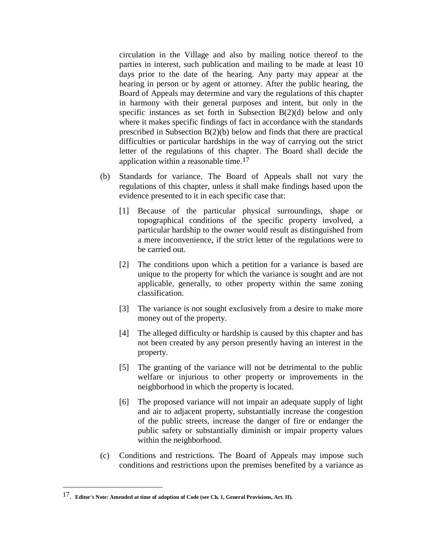circulation in the Village and also by mailing notice thereof to the parties in interest, such publication and mailing to be made at least 10 days prior to the date of the hearing. Any party may appear at the hearing in person or by agent or attorney. After the public hearing, the Board of Appeals may determine and vary the regulations of this chapter in harmony with their general purposes and intent, but only in the specific instances as set forth in Subsection B(2)(d) below and only where it makes specific findings of fact in accordance with the standards prescribed in Subsection B(2)(b) below and finds that there are practical difficulties or particular hardships in the way of carrying out the strict letter of the regulations of this chapter. The Board shall decide the application within a reasonable time.17

- (b) Standards for variance. The Board of Appeals shall not vary the regulations of this chapter, unless it shall make findings based upon the evidence presented to it in each specific case that:
	- [1] Because of the particular physical surroundings, shape or topographical conditions of the specific property involved, a particular hardship to the owner would result as distinguished from a mere inconvenience, if the strict letter of the regulations were to be carried out.
	- [2] The conditions upon which a petition for a variance is based are unique to the property for which the variance is sought and are not applicable, generally, to other property within the same zoning classification.
	- [3] The variance is not sought exclusively from a desire to make more money out of the property.
	- [4] The alleged difficulty or hardship is caused by this chapter and has not been created by any person presently having an interest in the property.
	- [5] The granting of the variance will not be detrimental to the public welfare or injurious to other property or improvements in the neighborhood in which the property is located.
	- [6] The proposed variance will not impair an adequate supply of light and air to adjacent property, substantially increase the congestion of the public streets, increase the danger of fire or endanger the public safety or substantially diminish or impair property values within the neighborhood.
- (c) Conditions and restrictions. The Board of Appeals may impose such conditions and restrictions upon the premises benefited by a variance as

 $\overline{a}$ 

<sup>17</sup>. **Editor's Note: Amended at time of adoption of Code (see Ch. 1, General Provisions, Art. II).**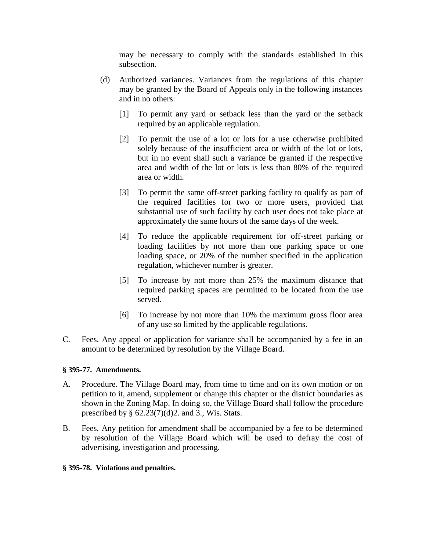may be necessary to comply with the standards established in this subsection.

- (d) Authorized variances. Variances from the regulations of this chapter may be granted by the Board of Appeals only in the following instances and in no others:
	- [1] To permit any yard or setback less than the yard or the setback required by an applicable regulation.
	- [2] To permit the use of a lot or lots for a use otherwise prohibited solely because of the insufficient area or width of the lot or lots, but in no event shall such a variance be granted if the respective area and width of the lot or lots is less than 80% of the required area or width.
	- [3] To permit the same off-street parking facility to qualify as part of the required facilities for two or more users, provided that substantial use of such facility by each user does not take place at approximately the same hours of the same days of the week.
	- [4] To reduce the applicable requirement for off-street parking or loading facilities by not more than one parking space or one loading space, or 20% of the number specified in the application regulation, whichever number is greater.
	- [5] To increase by not more than 25% the maximum distance that required parking spaces are permitted to be located from the use served.
	- [6] To increase by not more than 10% the maximum gross floor area of any use so limited by the applicable regulations.
- C. Fees. Any appeal or application for variance shall be accompanied by a fee in an amount to be determined by resolution by the Village Board.

### **§ 395-77. Amendments.**

- A. Procedure. The Village Board may, from time to time and on its own motion or on petition to it, amend, supplement or change this chapter or the district boundaries as shown in the Zoning Map. In doing so, the Village Board shall follow the procedure prescribed by  $\S$  62.23(7)(d)2. and 3., Wis. Stats.
- B. Fees. Any petition for amendment shall be accompanied by a fee to be determined by resolution of the Village Board which will be used to defray the cost of advertising, investigation and processing.
- **§ 395-78. Violations and penalties.**